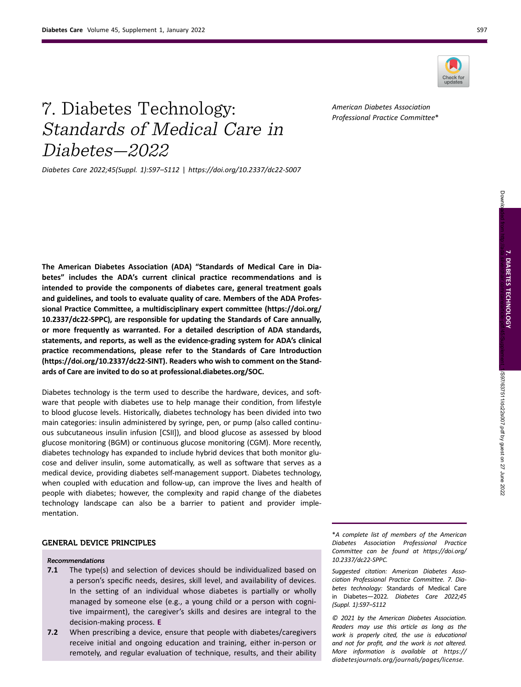Diabetes—2022



7. Diabetes Technology: Standards of Medical Care in American Diabetes Association

Diabetes Care 2022;45(Suppl. 1):S97–S112 | https://doi.org/10.2337/dc22-S007

The American Diabetes Association (ADA) "Standards of Medical Care in Diabetes" includes the ADA's current clinical practice recommendations and is intended to provide the components of diabetes care, general treatment goals and guidelines, and tools to evaluate quality of care. Members of the ADA Professional Practice Committee, a multidisciplinary expert committee ([https://doi.org/](https://doi.org/10.2337/dc22-SPPC) [10.2337/dc22-SPPC\)](https://doi.org/10.2337/dc22-SPPC), are responsible for updating the Standards of Care annually, or more frequently as warranted. For a detailed description of ADA standards, statements, and reports, as well as the evidence-grading system for ADA's clinical practice recommendations, please refer to the Standards of Care Introduction ([https://doi.org/10.2337/dc22-SINT\)](https://doi.org/10.2337/dc22-SINT). Readers who wish to comment on the Standards of Care are invited to do so at [professional.diabetes.org/SOC.](https://professional.diabetes.org/SOC)

Diabetes technology is the term used to describe the hardware, devices, and software that people with diabetes use to help manage their condition, from lifestyle to blood glucose levels. Historically, diabetes technology has been divided into two main categories: insulin administered by syringe, pen, or pump (also called continuous subcutaneous insulin infusion [CSII]), and blood glucose as assessed by blood glucose monitoring (BGM) or continuous glucose monitoring (CGM). More recently, diabetes technology has expanded to include hybrid devices that both monitor glucose and deliver insulin, some automatically, as well as software that serves as a medical device, providing diabetes self-management support. Diabetes technology, when coupled with education and follow-up, can improve the lives and health of people with diabetes; however, the complexity and rapid change of the diabetes technology landscape can also be a barrier to patient and provider implementation.

# GENERAL DEVICE PRINCIPLES

#### Recommendations

- **7.1** The type(s) and selection of devices should be individualized based on a person's specific needs, desires, skill level, and availability of devices. In the setting of an individual whose diabetes is partially or wholly managed by someone else (e.g., a young child or a person with cognitive impairment), the caregiver's skills and desires are integral to the decision-making process. E
- 7.2 When prescribing a device, ensure that people with diabetes/caregivers receive initial and ongoing education and training, either in-person or remotely, and regular evaluation of technique, results, and their ability

\*A complete list of members of the American Diabetes Association Professional Practice Committee can be found at [https://doi.org/](https://doi.org/10.2337/dc22-SPPC) [10.2337/dc22-SPPC](https://doi.org/10.2337/dc22-SPPC).

Suggested citation: American Diabetes Association Professional Practice Committee. 7. Diabetes technology: Standards of Medical Care in Diabetes—2022. Diabetes Care 2022;45 (Suppl. 1):S97–S112

© 2021 by the American Diabetes Association. Readers may use this article as long as the work is properly cited, the use is educational and not for profit, and the work is not altered. More information is available at [https://](https://diabetesjournals.org/journals/pages/license) [diabetesjournals.org/journals/pages/license](https://diabetesjournals.org/journals/pages/license).

Professional Practice Committee\*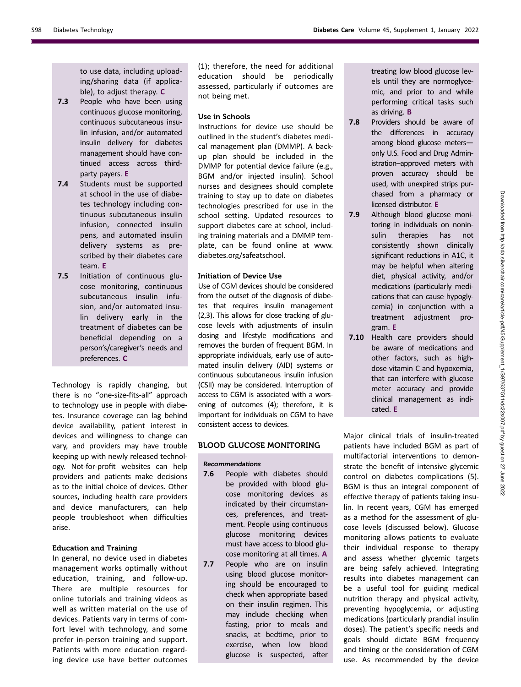to use data, including uploading/sharing data (if applicable), to adjust therapy. C

- **7.3** People who have been using continuous glucose monitoring, continuous subcutaneous insulin infusion, and/or automated insulin delivery for diabetes management should have continued access across thirdparty payers. E
- 7.4 Students must be supported at school in the use of diabetes technology including continuous subcutaneous insulin infusion, connected insulin pens, and automated insulin delivery systems as prescribed by their diabetes care team. E
- 7.5 Initiation of continuous glucose monitoring, continuous subcutaneous insulin infusion, and/or automated insulin delivery early in the treatment of diabetes can be beneficial depending on a person's/caregiver's needs and preferences. C

Technology is rapidly changing, but there is no "one-size-fits-all" approach to technology use in people with diabetes. Insurance coverage can lag behind device availability, patient interest in devices and willingness to change can vary, and providers may have trouble keeping up with newly released technology. Not-for-profit websites can help providers and patients make decisions as to the initial choice of devices. Other sources, including health care providers and device manufacturers, can help people troubleshoot when difficulties arise.

## Education and Training

In general, no device used in diabetes management works optimally without education, training, and follow-up. There are multiple resources for online tutorials and training videos as well as written material on the use of devices. Patients vary in terms of comfort level with technology, and some prefer in-person training and support. Patients with more education regarding device use have better outcomes

(1); therefore, the need for additional education should be periodically assessed, particularly if outcomes are not being met.

## Use in Schools

Instructions for device use should be outlined in the student's diabetes medical management plan (DMMP). A backup plan should be included in the DMMP for potential device failure (e.g., BGM and/or injected insulin). School nurses and designees should complete training to stay up to date on diabetes technologies prescribed for use in the school setting. Updated resources to support diabetes care at school, including training materials and a DMMP template, can be found online at [www.](http://www.diabetes.org/safeatschool) [diabetes.org/safeatschool](http://www.diabetes.org/safeatschool).

## Initiation of Device Use

Use of CGM devices should be considered from the outset of the diagnosis of diabetes that requires insulin management (2,3). This allows for close tracking of glucose levels with adjustments of insulin dosing and lifestyle modifications and removes the burden of frequent BGM. In appropriate individuals, early use of automated insulin delivery (AID) systems or continuous subcutaneous insulin infusion (CSII) may be considered. Interruption of access to CGM is associated with a worsening of outcomes (4); therefore, it is important for individuals on CGM to have consistent access to devices.

# BLOOD GLUCOSE MONITORING

## Recommendations

- 7.6 People with diabetes should be provided with blood glucose monitoring devices as indicated by their circumstances, preferences, and treatment. People using continuous glucose monitoring devices must have access to blood glucose monitoring at all times. A
- 7.7 People who are on insulin using blood glucose monitoring should be encouraged to check when appropriate based on their insulin regimen. This may include checking when fasting, prior to meals and snacks, at bedtime, prior to exercise, when low blood glucose is suspected, after

treating low blood glucose levels until they are normoglycemic, and prior to and while performing critical tasks such as driving. B

- 7.8 Providers should be aware of the differences in accuracy among blood glucose meters only U.S. Food and Drug Administration–approved meters with proven accuracy should be used, with unexpired strips purchased from a pharmacy or licensed distributor. E
- 7.9 Although blood glucose monitoring in individuals on noninsulin therapies has not consistently shown clinically significant reductions in A1C, it may be helpful when altering diet, physical activity, and/or medications (particularly medications that can cause hypoglycemia) in conjunction with a treatment adjustment program. E
- 7.10 Health care providers should be aware of medications and other factors, such as highdose vitamin C and hypoxemia, that can interfere with glucose meter accuracy and provide clinical management as indicated. E

Major clinical trials of insulin-treated patients have included BGM as part of multifactorial interventions to demonstrate the benefit of intensive glycemic control on diabetes complications (5). BGM is thus an integral component of effective therapy of patients taking insulin. In recent years, CGM has emerged as a method for the assessment of glucose levels (discussed below). Glucose monitoring allows patients to evaluate their individual response to therapy and assess whether glycemic targets are being safely achieved. Integrating results into diabetes management can be a useful tool for guiding medical nutrition therapy and physical activity, preventing hypoglycemia, or adjusting medications (particularly prandial insulin doses). The patient's specific needs and goals should dictate BGM frequency and timing or the consideration of CGM use. As recommended by the device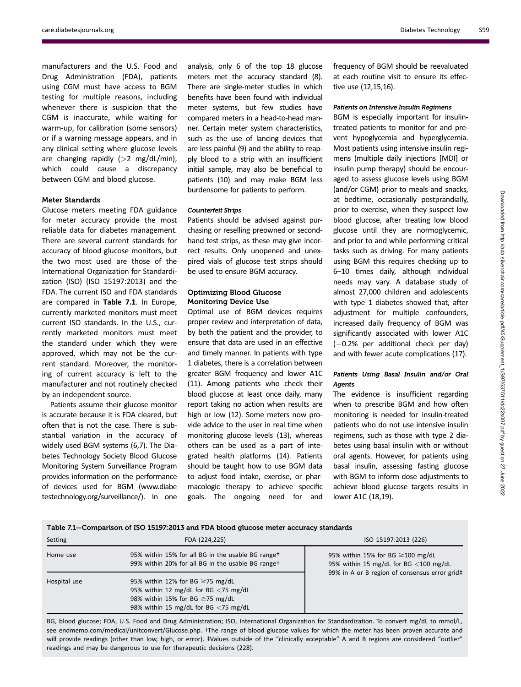care.diabetesjournals.org Diabetes Technology S99

manufacturers and the U.S. Food and Drug Administration (FDA), patients using CGM must have access to BGM testing for multiple reasons, including whenever there is suspicion that the CGM is inaccurate, while waiting for warm-up, for calibration (some sensors) or if a warning message appears, and in any clinical setting where glucose levels are changing rapidly  $(>2$  mg/dL/min), which could cause a discrepancy between CGM and blood glucose.

#### Meter Standards

Glucose meters meeting FDA guidance for meter accuracy provide the most reliable data for diabetes management. There are several current standards for accuracy of blood glucose monitors, but the two most used are those of the International Organization for Standardization (ISO) (ISO 15197:2013) and the FDA. The current ISO and FDA standards are compared in Table 7.1. In Europe, currently marketed monitors must meet current ISO standards. In the U.S., currently marketed monitors must meet the standard under which they were approved, which may not be the current standard. Moreover, the monitoring of current accuracy is left to the manufacturer and not routinely checked by an independent source.

Patients assume their glucose monitor is accurate because it is FDA cleared, but often that is not the case. There is substantial variation in the accuracy of widely used BGM systems (6,7). The Diabetes Technology Society Blood Glucose Monitoring System Surveillance Program provides information on the performance of devices used for BGM ([www.diabe](http://www.diabetestechnology.org/surveillance/) [testechnology.org/surveillance/\)](http://www.diabetestechnology.org/surveillance/). In one

analysis, only 6 of the top 18 glucose meters met the accuracy standard (8). There are single-meter studies in which benefits have been found with individual meter systems, but few studies have compared meters in a head-to-head manner. Certain meter system characteristics, such as the use of lancing devices that are less painful (9) and the ability to reapply blood to a strip with an insufficient initial sample, may also be beneficial to patients (10) and may make BGM less burdensome for patients to perform.

#### Counterfeit Strips

Patients should be advised against purchasing or reselling preowned or secondhand test strips, as these may give incorrect results. Only unopened and unexpired vials of glucose test strips should be used to ensure BGM accuracy.

## Optimizing Blood Glucose Monitoring Device Use

Optimal use of BGM devices requires proper review and interpretation of data, by both the patient and the provider, to ensure that data are used in an effective and timely manner. In patients with type 1 diabetes, there is a correlation between greater BGM frequency and lower A1C (11). Among patients who check their blood glucose at least once daily, many report taking no action when results are high or low (12). Some meters now provide advice to the user in real time when monitoring glucose levels (13), whereas others can be used as a part of integrated health platforms (14). Patients should be taught how to use BGM data to adjust food intake, exercise, or pharmacologic therapy to achieve specific goals. The ongoing need for and

frequency of BGM should be reevaluated at each routine visit to ensure its effective use (12,15,16).

#### Patients on Intensive Insulin Regimens

BGM is especially important for insulintreated patients to monitor for and prevent hypoglycemia and hyperglycemia. Most patients using intensive insulin regimens (multiple daily injections [MDI] or insulin pump therapy) should be encouraged to assess glucose levels using BGM (and/or CGM) prior to meals and snacks, at bedtime, occasionally postprandially, prior to exercise, when they suspect low blood glucose, after treating low blood glucose until they are normoglycemic, and prior to and while performing critical tasks such as driving. For many patients using BGM this requires checking up to 6–10 times daily, although individual needs may vary. A database study of almost 27,000 children and adolescents with type 1 diabetes showed that, after adjustment for multiple confounders, increased daily frequency of BGM was significantly associated with lower A1C  $(-0.2%$  per additional check per day) and with fewer acute complications (17).

# Patients Using Basal Insulin and/or Oral Agents

The evidence is insufficient regarding when to prescribe BGM and how often monitoring is needed for insulin-treated patients who do not use intensive insulin regimens, such as those with type 2 diabetes using basal insulin with or without oral agents. However, for patients using basal insulin, assessing fasting glucose with BGM to inform dose adjustments to achieve blood glucose targets results in lower A1C (18,19).

Table 7.1—Comparison of ISO 15197:2013 and FDA blood glucose meter accuracy standards Setting FDA (224,225) **ISO 15197:2013** (226) Home use 95% within 15% for all BG in the usable BG range† 99% within 20% for all BG in the usable BG range† 95% within 15% for BG  $\geq$ 100 mg/dL 95% within 15 mg/dL for BG <100 mg/dL 99% in A or B region of consensus error grid‡ Hospital use  $95\%$  within 12% for BG  $\geq$ 75 mg/dL 95% within 12 mg/dL for BG <75 mg/dL 98% within 15% for BG  $\geq$ 75 mg/dL 98% within 15 mg/dL for BG <75 mg/dL

BG, blood glucose; FDA, U.S. Food and Drug Administration; ISO, International Organization for Standardization. To convert mg/dL to mmol/L, see [endmemo.com/medical/unitconvert/Glucose.php.](https:/endmemo.com/medical/unitconvert/Glucose.php) †The range of blood glucose values for which the meter has been proven accurate and will provide readings (other than low, high, or error). #Values outside of the "clinically acceptable" A and B regions are considered "outlier" readings and may be dangerous to use for therapeutic decisions (228).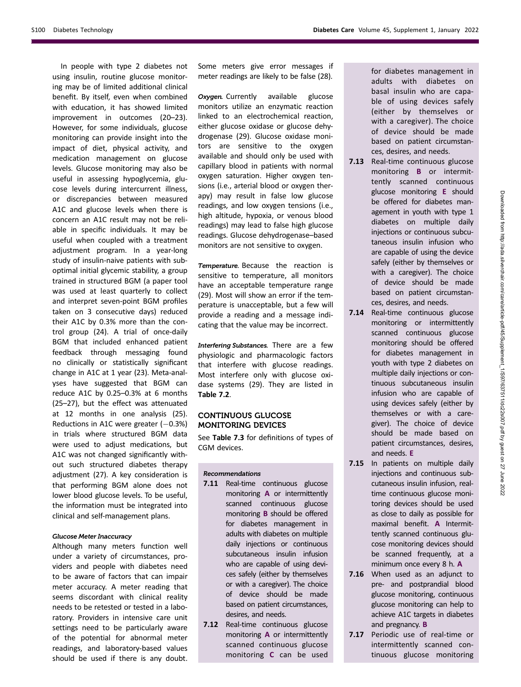In people with type 2 diabetes not using insulin, routine glucose monitoring may be of limited additional clinical benefit. By itself, even when combined with education, it has showed limited improvement in outcomes (20–23). However, for some individuals, glucose monitoring can provide insight into the impact of diet, physical activity, and medication management on glucose levels. Glucose monitoring may also be useful in assessing hypoglycemia, glucose levels during intercurrent illness, or discrepancies between measured A1C and glucose levels when there is concern an A1C result may not be reliable in specific individuals. It may be useful when coupled with a treatment adjustment program. In a year-long study of insulin-naive patients with suboptimal initial glycemic stability, a group trained in structured BGM (a paper tool was used at least quarterly to collect and interpret seven-point BGM profiles taken on 3 consecutive days) reduced their A1C by 0.3% more than the control group (24). A trial of once-daily BGM that included enhanced patient feedback through messaging found no clinically or statistically significant change in A1C at 1 year (23). Meta-analyses have suggested that BGM can reduce A1C by 0.25–0.3% at 6 months (25–27), but the effect was attenuated at 12 months in one analysis (25). Reductions in A1C were greater  $(-0.3%)$ in trials where structured BGM data were used to adjust medications, but A1C was not changed significantly without such structured diabetes therapy adjustment (27). A key consideration is that performing BGM alone does not lower blood glucose levels. To be useful, the information must be integrated into clinical and self-management plans.

#### Glucose Meter Inaccuracy

Although many meters function well under a variety of circumstances, providers and people with diabetes need to be aware of factors that can impair meter accuracy. A meter reading that seems discordant with clinical reality needs to be retested or tested in a laboratory. Providers in intensive care unit settings need to be particularly aware of the potential for abnormal meter readings, and laboratory-based values should be used if there is any doubt.

Some meters give error messages if meter readings are likely to be false (28).

Oxygen. Currently available glucose monitors utilize an enzymatic reaction linked to an electrochemical reaction, either glucose oxidase or glucose dehydrogenase (29). Glucose oxidase monitors are sensitive to the oxygen available and should only be used with capillary blood in patients with normal oxygen saturation. Higher oxygen tensions (i.e., arterial blood or oxygen therapy) may result in false low glucose readings, and low oxygen tensions (i.e., high altitude, hypoxia, or venous blood readings) may lead to false high glucose readings. Glucose dehydrogenase–based monitors are not sensitive to oxygen.

Temperature. Because the reaction is sensitive to temperature, all monitors have an acceptable temperature range (29). Most will show an error if the temperature is unacceptable, but a few will provide a reading and a message indicating that the value may be incorrect.

Interfering Substances. There are a few physiologic and pharmacologic factors that interfere with glucose readings. Most interfere only with glucose oxidase systems (29). They are listed in Table 7.2.

# CONTINUOUS GLUCOSE MONITORING DEVICES

See Table 7.3 for definitions of types of CGM devices.

### Recommendations

- 7.11 Real-time continuous glucose monitoring A or intermittently scanned continuous glucose monitoring B should be offered for diabetes management in adults with diabetes on multiple daily injections or continuous subcutaneous insulin infusion who are capable of using devices safely (either by themselves or with a caregiver). The choice of device should be made based on patient circumstances, desires, and needs.
- 7.12 Real-time continuous glucose monitoring A or intermittently scanned continuous glucose monitoring C can be used

for diabetes management in adults with diabetes on basal insulin who are capable of using devices safely (either by themselves or with a caregiver). The choice of device should be made based on patient circumstances, desires, and needs.

- 7.13 Real-time continuous glucose monitoring B or intermittently scanned continuous glucose monitoring E should be offered for diabetes management in youth with type 1 diabetes on multiple daily injections or continuous subcutaneous insulin infusion who are capable of using the device safely (either by themselves or with a caregiver). The choice of device should be made based on patient circumstances, desires, and needs.
- 7.14 Real-time continuous glucose monitoring or intermittently scanned continuous glucose monitoring should be offered for diabetes management in youth with type 2 diabetes on multiple daily injections or continuous subcutaneous insulin infusion who are capable of using devices safely (either by themselves or with a caregiver). The choice of device should be made based on patient circumstances, desires, and needs. E
- 7.15 In patients on multiple daily injections and continuous subcutaneous insulin infusion, realtime continuous glucose monitoring devices should be used as close to daily as possible for maximal benefit. A Intermittently scanned continuous glucose monitoring devices should be scanned frequently, at a minimum once every 8 h. A
- 7.16 When used as an adjunct to pre- and postprandial blood glucose monitoring, continuous glucose monitoring can help to achieve A1C targets in diabetes and pregnancy. B
- 7.17 Periodic use of real-time or intermittently scanned continuous glucose monitoring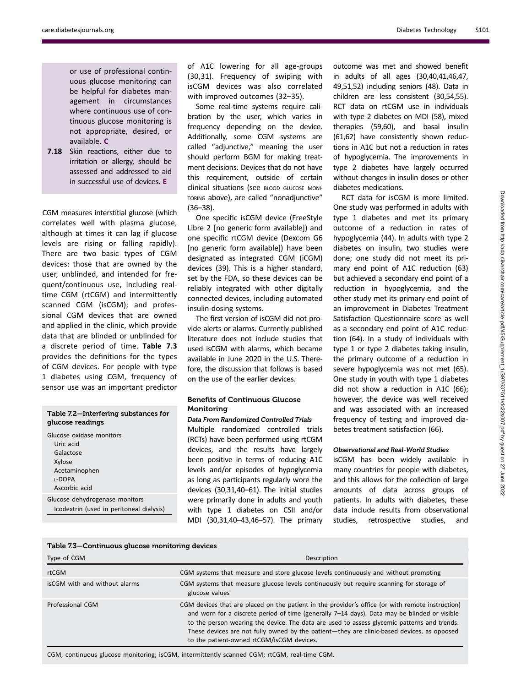or use of professional continuous glucose monitoring can be helpful for diabetes management in circumstances where continuous use of continuous glucose monitoring is not appropriate, desired, or available. C

7.18 Skin reactions, either due to irritation or allergy, should be assessed and addressed to aid in successful use of devices. E

CGM measures interstitial glucose (which correlates well with plasma glucose, although at times it can lag if glucose levels are rising or falling rapidly). There are two basic types of CGM devices: those that are owned by the user, unblinded, and intended for frequent/continuous use, including realtime CGM (rtCGM) and intermittently scanned CGM (isCGM); and professional CGM devices that are owned and applied in the clinic, which provide data that are blinded or unblinded for a discrete period of time. Table 7.3 provides the definitions for the types of CGM devices. For people with type 1 diabetes using CGM, frequency of sensor use was an important predictor

# Table 7.2—Interfering substances for glucose readings

Glucose oxidase monitors Uric acid Galactose Xylose **Acetaminophen** L-DOPA Ascorbic acid Glucose dehydrogenase monitors Icodextrin (used in peritoneal dialysis) of A1C lowering for all age-groups (30,31). Frequency of swiping with isCGM devices was also correlated with improved outcomes (32–35).

Some real-time systems require calibration by the user, which varies in frequency depending on the device. Additionally, some CGM systems are called "adjunctive," meaning the user should perform BGM for making treatment decisions. Devices that do not have this requirement, outside of certain clinical situations (see BLOOD GLUCOSE MONI-TORING above), are called "nonadjunctive" (36–38).

One specific isCGM device (FreeStyle Libre 2 [no generic form available]) and one specific rtCGM device (Dexcom G6 [no generic form available]) have been designated as integrated CGM (iCGM) devices (39). This is a higher standard, set by the FDA, so these devices can be reliably integrated with other digitally connected devices, including automated insulin-dosing systems.

The first version of isCGM did not provide alerts or alarms. Currently published literature does not include studies that used isCGM with alarms, which became available in June 2020 in the U.S. Therefore, the discussion that follows is based on the use of the earlier devices.

# Benefits of Continuous Glucose Monitoring

Data From Randomized Controlled Trials Multiple randomized controlled trials (RCTs) have been performed using rtCGM devices, and the results have largely been positive in terms of reducing A1C levels and/or episodes of hypoglycemia as long as participants regularly wore the devices (30,31,40–61). The initial studies were primarily done in adults and youth with type 1 diabetes on CSII and/or MDI (30,31,40–43,46–57). The primary

outcome was met and showed benefit in adults of all ages (30,40,41,46,47, 49,51,52) including seniors (48). Data in children are less consistent (30,54,55). RCT data on rtCGM use in individuals with type 2 diabetes on MDI (58), mixed therapies (59,60), and basal insulin (61,62) have consistently shown reductions in A1C but not a reduction in rates of hypoglycemia. The improvements in type 2 diabetes have largely occurred without changes in insulin doses or other diabetes medications.

RCT data for isCGM is more limited. One study was performed in adults with type 1 diabetes and met its primary outcome of a reduction in rates of hypoglycemia (44). In adults with type 2 diabetes on insulin, two studies were done; one study did not meet its primary end point of A1C reduction (63) but achieved a secondary end point of a reduction in hypoglycemia, and the other study met its primary end point of an improvement in Diabetes Treatment Satisfaction Questionnaire score as well as a secondary end point of A1C reduction (64). In a study of individuals with type 1 or type 2 diabetes taking insulin, the primary outcome of a reduction in severe hypoglycemia was not met (65). One study in youth with type 1 diabetes did not show a reduction in A1C (66); however, the device was well received and was associated with an increased frequency of testing and improved diabetes treatment satisfaction (66).

## Observational and Real-World Studies

isCGM has been widely available in many countries for people with diabetes, and this allows for the collection of large amounts of data across groups of patients. In adults with diabetes, these data include results from observational studies, retrospective studies, and

| Type of CGM                   | Description                                                                                                                                                                                                                                                                                                                                                                                                                                |
|-------------------------------|--------------------------------------------------------------------------------------------------------------------------------------------------------------------------------------------------------------------------------------------------------------------------------------------------------------------------------------------------------------------------------------------------------------------------------------------|
| rtCGM                         | CGM systems that measure and store glucose levels continuously and without prompting                                                                                                                                                                                                                                                                                                                                                       |
| isCGM with and without alarms | CGM systems that measure glucose levels continuously but require scanning for storage of<br>glucose values                                                                                                                                                                                                                                                                                                                                 |
| Professional CGM              | CGM devices that are placed on the patient in the provider's office (or with remote instruction)<br>and worn for a discrete period of time (generally 7-14 days). Data may be blinded or visible<br>to the person wearing the device. The data are used to assess glycemic patterns and trends.<br>These devices are not fully owned by the patient—they are clinic-based devices, as opposed<br>to the patient-owned rtCGM/isCGM devices. |

CGM, continuous glucose monitoring; isCGM, intermittently scanned CGM; rtCGM, real-time CGM.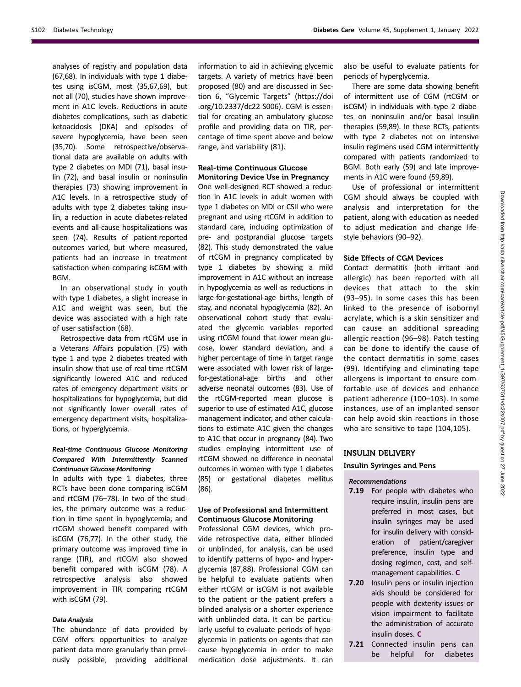analyses of registry and population data (67,68). In individuals with type 1 diabetes using isCGM, most (35,67,69), but not all (70), studies have shown improvement in A1C levels. Reductions in acute diabetes complications, such as diabetic ketoacidosis (DKA) and episodes of severe hypoglycemia, have been seen (35,70). Some retrospective/observational data are available on adults with type 2 diabetes on MDI (71), basal insulin (72), and basal insulin or noninsulin therapies (73) showing improvement in A1C levels. In a retrospective study of adults with type 2 diabetes taking insulin, a reduction in acute diabetes-related events and all-cause hospitalizations was seen (74). Results of patient-reported outcomes varied, but where measured, patients had an increase in treatment satisfaction when comparing isCGM with BGM.

In an observational study in youth with type 1 diabetes, a slight increase in A1C and weight was seen, but the device was associated with a high rate of user satisfaction (68).

Retrospective data from rtCGM use in a Veterans Affairs population (75) with type 1 and type 2 diabetes treated with insulin show that use of real-time rtCGM significantly lowered A1C and reduced rates of emergency department visits or hospitalizations for hypoglycemia, but did not significantly lower overall rates of emergency department visits, hospitalizations, or hyperglycemia.

## Real-time Continuous Glucose Monitoring Compared With Intermittently Scanned Continuous Glucose Monitoring

In adults with type 1 diabetes, three RCTs have been done comparing isCGM and rtCGM (76–78). In two of the studies, the primary outcome was a reduction in time spent in hypoglycemia, and rtCGM showed benefit compared with isCGM (76,77). In the other study, the primary outcome was improved time in range (TIR), and rtCGM also showed benefit compared with isCGM (78). A retrospective analysis also showed improvement in TIR comparing rtCGM with isCGM (79).

# Data Analysis

The abundance of data provided by CGM offers opportunities to analyze patient data more granularly than previously possible, providing additional information to aid in achieving glycemic targets. A variety of metrics have been proposed (80) and are discussed in Section 6, "Glycemic Targets" [\(https://doi](https://doi.org/10.2337/dc22-S006) [.org/10.2337/dc22-S006\)](https://doi.org/10.2337/dc22-S006). CGM is essential for creating an ambulatory glucose profile and providing data on TIR, percentage of time spent above and below range, and variability (81).

#### Real-time Continuous Glucose Monitoring Device Use in Pregnancy

One well-designed RCT showed a reduction in A1C levels in adult women with type 1 diabetes on MDI or CSII who were pregnant and using rtCGM in addition to standard care, including optimization of pre- and postprandial glucose targets (82). This study demonstrated the value of rtCGM in pregnancy complicated by type 1 diabetes by showing a mild improvement in A1C without an increase in hypoglycemia as well as reductions in large-for-gestational-age births, length of stay, and neonatal hypoglycemia (82). An observational cohort study that evaluated the glycemic variables reported using rtCGM found that lower mean glucose, lower standard deviation, and a higher percentage of time in target range were associated with lower risk of largefor-gestational-age births and other adverse neonatal outcomes (83). Use of the rtCGM-reported mean glucose is superior to use of estimated A1C, glucose management indicator, and other calculations to estimate A1C given the changes to A1C that occur in pregnancy (84). Two studies employing intermittent use of rtCGM showed no difference in neonatal outcomes in women with type 1 diabetes (85) or gestational diabetes mellitus (86).

## Use of Professional and Intermittent Continuous Glucose Monitoring

Professional CGM devices, which provide retrospective data, either blinded or unblinded, for analysis, can be used to identify patterns of hypo- and hyperglycemia (87,88). Professional CGM can be helpful to evaluate patients when either rtCGM or isCGM is not available to the patient or the patient prefers a blinded analysis or a shorter experience with unblinded data. It can be particularly useful to evaluate periods of hypoglycemia in patients on agents that can cause hypoglycemia in order to make medication dose adjustments. It can

also be useful to evaluate patients for periods of hyperglycemia.

There are some data showing benefit of intermittent use of CGM (rtCGM or isCGM) in individuals with type 2 diabetes on noninsulin and/or basal insulin therapies (59,89). In these RCTs, patients with type 2 diabetes not on intensive insulin regimens used CGM intermittently compared with patients randomized to BGM. Both early (59) and late improvements in A1C were found (59,89).

Use of professional or intermittent CGM should always be coupled with analysis and interpretation for the patient, along with education as needed to adjust medication and change lifestyle behaviors (90–92).

# Side Effects of CGM Devices

Contact dermatitis (both irritant and allergic) has been reported with all devices that attach to the skin (93–95). In some cases this has been linked to the presence of isobornyl acrylate, which is a skin sensitizer and can cause an additional spreading allergic reaction (96–98). Patch testing can be done to identify the cause of the contact dermatitis in some cases (99). Identifying and eliminating tape allergens is important to ensure comfortable use of devices and enhance patient adherence (100–103). In some instances, use of an implanted sensor can help avoid skin reactions in those who are sensitive to tape (104,105).

# INSULIN DELIVERY

Insulin Syringes and Pens

# Recommendations

- 7.19 For people with diabetes who require insulin, insulin pens are preferred in most cases, but insulin syringes may be used for insulin delivery with consideration of patient/caregiver preference, insulin type and dosing regimen, cost, and selfmanagement capabilities. C
- 7.20 Insulin pens or insulin injection aids should be considered for people with dexterity issues or vision impairment to facilitate the administration of accurate insulin doses. C
- 7.21 Connected insulin pens can be helpful for diabetes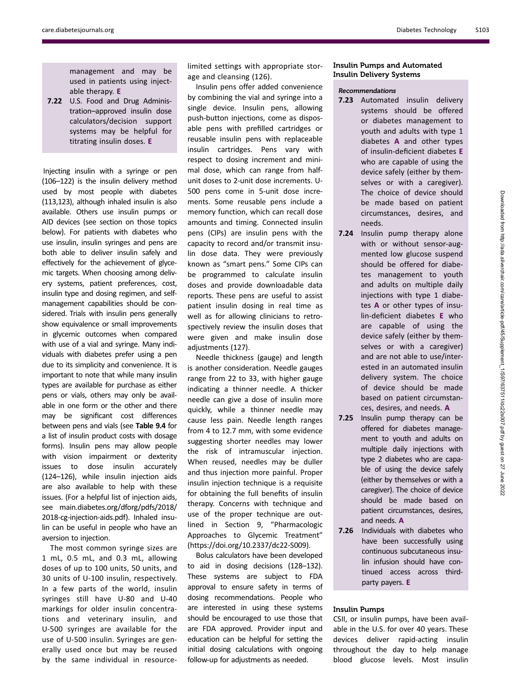management and may be used in patients using injectable therapy. E

7.22 U.S. Food and Drug Administration–approved insulin dose calculators/decision support systems may be helpful for titrating insulin doses. E

Injecting insulin with a syringe or pen (106–122) is the insulin delivery method used by most people with diabetes (113,123), although inhaled insulin is also available. Others use insulin pumps or AID devices (see section on those topics below). For patients with diabetes who use insulin, insulin syringes and pens are both able to deliver insulin safely and effectively for the achievement of glycemic targets. When choosing among delivery systems, patient preferences, cost, insulin type and dosing regimen, and selfmanagement capabilities should be considered. Trials with insulin pens generally show equivalence or small improvements in glycemic outcomes when compared with use of a vial and syringe. Many individuals with diabetes prefer using a pen due to its simplicity and convenience. It is important to note that while many insulin types are available for purchase as either pens or vials, others may only be available in one form or the other and there may be significant cost differences between pens and vials (see Table 9.4 for a list of insulin product costs with dosage forms). Insulin pens may allow people with vision impairment or dexterity issues to dose insulin accurately (124–126), while insulin injection aids are also available to help with these issues. (For a helpful list of injection aids, see [main.diabetes.org/dforg/pdfs/2018/](http://main.diabetes.org/dforg/pdfs/2018/2018-cg-injection-aids.pdf) [2018-cg-injection-aids.pdf](http://main.diabetes.org/dforg/pdfs/2018/2018-cg-injection-aids.pdf)). Inhaled insulin can be useful in people who have an aversion to injection.

The most common syringe sizes are 1 mL, 0.5 mL, and 0.3 mL, allowing doses of up to 100 units, 50 units, and 30 units of U-100 insulin, respectively. In a few parts of the world, insulin syringes still have U-80 and U-40 markings for older insulin concentrations and veterinary insulin, and U-500 syringes are available for the use of U-500 insulin. Syringes are generally used once but may be reused by the same individual in resourcelimited settings with appropriate storage and cleansing (126).

Insulin pens offer added convenience by combining the vial and syringe into a single device. Insulin pens, allowing push-button injections, come as disposable pens with prefilled cartridges or reusable insulin pens with replaceable insulin cartridges. Pens vary with respect to dosing increment and minimal dose, which can range from halfunit doses to 2-unit dose increments. U-500 pens come in 5-unit dose increments. Some reusable pens include a memory function, which can recall dose amounts and timing. Connected insulin pens (CIPs) are insulin pens with the capacity to record and/or transmit insulin dose data. They were previously known as "smart pens." Some CIPs can be programmed to calculate insulin doses and provide downloadable data reports. These pens are useful to assist patient insulin dosing in real time as well as for allowing clinicians to retrospectively review the insulin doses that were given and make insulin dose adjustments (127).

Needle thickness (gauge) and length is another consideration. Needle gauges range from 22 to 33, with higher gauge indicating a thinner needle. A thicker needle can give a dose of insulin more quickly, while a thinner needle may cause less pain. Needle length ranges from 4 to 12.7 mm, with some evidence suggesting shorter needles may lower the risk of intramuscular injection. When reused, needles may be duller and thus injection more painful. Proper insulin injection technique is a requisite for obtaining the full benefits of insulin therapy. Concerns with technique and use of the proper technique are outlined in Section 9, "Pharmacologic Approaches to Glycemic Treatment" (<https://doi.org/10.2337/dc22-S009>).

Bolus calculators have been developed to aid in dosing decisions (128–132). These systems are subject to FDA approval to ensure safety in terms of dosing recommendations. People who are interested in using these systems should be encouraged to use those that are FDA approved. Provider input and education can be helpful for setting the initial dosing calculations with ongoing follow-up for adjustments as needed.

# Insulin Pumps and Automated Insulin Delivery Systems

# Recommendations

- 7.23 Automated insulin delivery systems should be offered or diabetes management to youth and adults with type 1 diabetes A and other types of insulin-deficient diabetes E who are capable of using the device safely (either by themselves or with a caregiver). The choice of device should be made based on patient circumstances, desires, and needs.
- 7.24 Insulin pump therapy alone with or without sensor-augmented low glucose suspend should be offered for diabetes management to youth and adults on multiple daily injections with type 1 diabetes A or other types of insulin-deficient diabetes E who are capable of using the device safely (either by themselves or with a caregiver) and are not able to use/interested in an automated insulin delivery system. The choice of device should be made based on patient circumstances, desires, and needs. A
- 7.25 Insulin pump therapy can be offered for diabetes management to youth and adults on multiple daily injections with type 2 diabetes who are capable of using the device safely (either by themselves or with a caregiver). The choice of device should be made based on patient circumstances, desires, and needs. A
- 7.26 Individuals with diabetes who have been successfully using continuous subcutaneous insulin infusion should have continued access across thirdparty payers. E

## Insulin Pumps

CSII, or insulin pumps, have been available in the U.S. for over 40 years. These devices deliver rapid-acting insulin throughout the day to help manage blood glucose levels. Most insulin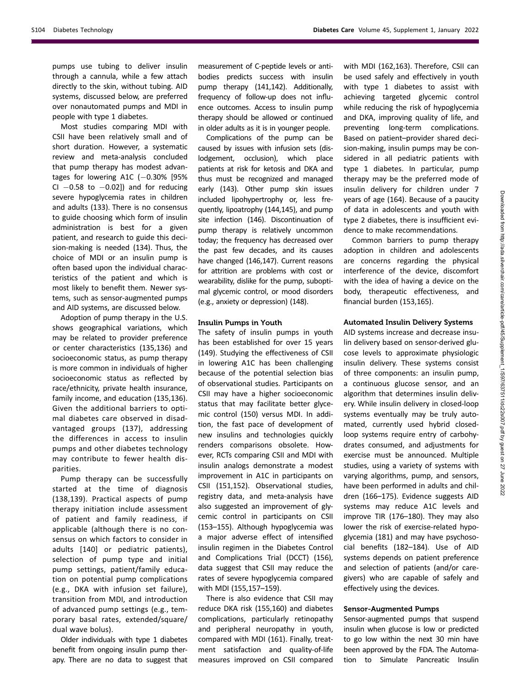pumps use tubing to deliver insulin through a cannula, while a few attach directly to the skin, without tubing. AID systems, discussed below, are preferred over nonautomated pumps and MDI in people with type 1 diabetes.

Most studies comparing MDI with CSII have been relatively small and of short duration. However, a systematic review and meta-analysis concluded that pump therapy has modest advantages for lowering A1C  $(-0.30\%$  [95% CI  $-0.58$  to  $-0.02$ ]) and for reducing severe hypoglycemia rates in children and adults (133). There is no consensus to guide choosing which form of insulin administration is best for a given patient, and research to guide this decision-making is needed (134). Thus, the choice of MDI or an insulin pump is often based upon the individual characteristics of the patient and which is most likely to benefit them. Newer systems, such as sensor-augmented pumps and AID systems, are discussed below.

Adoption of pump therapy in the U.S. shows geographical variations, which may be related to provider preference or center characteristics (135,136) and socioeconomic status, as pump therapy is more common in individuals of higher socioeconomic status as reflected by race/ethnicity, private health insurance, family income, and education (135,136). Given the additional barriers to optimal diabetes care observed in disadvantaged groups (137), addressing the differences in access to insulin pumps and other diabetes technology may contribute to fewer health disparities.

Pump therapy can be successfully started at the time of diagnosis (138,139). Practical aspects of pump therapy initiation include assessment of patient and family readiness, if applicable (although there is no consensus on which factors to consider in adults [140] or pediatric patients), selection of pump type and initial pump settings, patient/family education on potential pump complications (e.g., DKA with infusion set failure), transition from MDI, and introduction of advanced pump settings (e.g., temporary basal rates, extended/square/ dual wave bolus).

Older individuals with type 1 diabetes benefit from ongoing insulin pump therapy. There are no data to suggest that measurement of C-peptide levels or antibodies predicts success with insulin pump therapy (141,142). Additionally, frequency of follow-up does not influence outcomes. Access to insulin pump therapy should be allowed or continued in older adults as it is in younger people.

Complications of the pump can be caused by issues with infusion sets (dislodgement, occlusion), which place patients at risk for ketosis and DKA and thus must be recognized and managed early (143). Other pump skin issues included lipohypertrophy or, less frequently, lipoatrophy (144,145), and pump site infection (146). Discontinuation of pump therapy is relatively uncommon today; the frequency has decreased over the past few decades, and its causes have changed (146,147). Current reasons for attrition are problems with cost or wearability, dislike for the pump, suboptimal glycemic control, or mood disorders (e.g., anxiety or depression) (148).

### Insulin Pumps in Youth

The safety of insulin pumps in youth has been established for over 15 years (149). Studying the effectiveness of CSII in lowering A1C has been challenging because of the potential selection bias of observational studies. Participants on CSII may have a higher socioeconomic status that may facilitate better glycemic control (150) versus MDI. In addition, the fast pace of development of new insulins and technologies quickly renders comparisons obsolete. However, RCTs comparing CSII and MDI with insulin analogs demonstrate a modest improvement in A1C in participants on CSII (151,152). Observational studies, registry data, and meta-analysis have also suggested an improvement of glycemic control in participants on CSII (153–155). Although hypoglycemia was a major adverse effect of intensified insulin regimen in the Diabetes Control and Complications Trial (DCCT) (156), data suggest that CSII may reduce the rates of severe hypoglycemia compared with MDI (155,157–159).

There is also evidence that CSII may reduce DKA risk (155,160) and diabetes complications, particularly retinopathy and peripheral neuropathy in youth, compared with MDI (161). Finally, treatment satisfaction and quality-of-life measures improved on CSII compared

with MDI (162,163). Therefore, CSII can be used safely and effectively in youth with type 1 diabetes to assist with achieving targeted glycemic control while reducing the risk of hypoglycemia and DKA, improving quality of life, and preventing long-term complications. Based on patient–provider shared decision-making, insulin pumps may be considered in all pediatric patients with type 1 diabetes. In particular, pump therapy may be the preferred mode of insulin delivery for children under 7 years of age (164). Because of a paucity of data in adolescents and youth with type 2 diabetes, there is insufficient evidence to make recommendations.

Common barriers to pump therapy adoption in children and adolescents are concerns regarding the physical interference of the device, discomfort with the idea of having a device on the body, therapeutic effectiveness, and financial burden (153,165).

### Automated Insulin Delivery Systems

AID systems increase and decrease insulin delivery based on sensor-derived glucose levels to approximate physiologic insulin delivery. These systems consist of three components: an insulin pump, a continuous glucose sensor, and an algorithm that determines insulin delivery. While insulin delivery in closed-loop systems eventually may be truly automated, currently used hybrid closedloop systems require entry of carbohydrates consumed, and adjustments for exercise must be announced. Multiple studies, using a variety of systems with varying algorithms, pump, and sensors, have been performed in adults and children (166–175). Evidence suggests AID systems may reduce A1C levels and improve TIR (176–180). They may also lower the risk of exercise-related hypoglycemia (181) and may have psychosocial benefits (182–184). Use of AID systems depends on patient preference and selection of patients (and/or caregivers) who are capable of safely and effectively using the devices.

#### Sensor-Augmented Pumps

Sensor-augmented pumps that suspend insulin when glucose is low or predicted to go low within the next 30 min have been approved by the FDA. The Automation to Simulate Pancreatic Insulin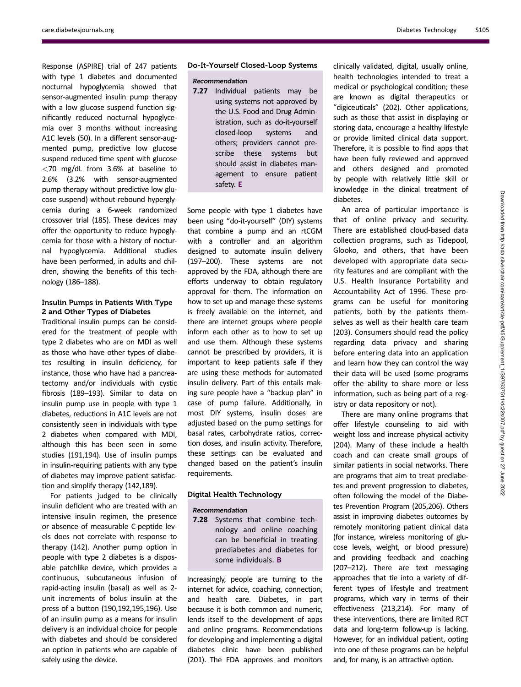Response (ASPIRE) trial of 247 patients with type 1 diabetes and documented nocturnal hypoglycemia showed that sensor-augmented insulin pump therapy with a low glucose suspend function significantly reduced nocturnal hypoglycemia over 3 months without increasing A1C levels (50). In a different sensor-augmented pump, predictive low glucose suspend reduced time spent with glucose  $<$ 70 mg/dL from 3.6% at baseline to 2.6% (3.2% with sensor-augmented pump therapy without predictive low glucose suspend) without rebound hyperglycemia during a 6-week randomized crossover trial (185). These devices may offer the opportunity to reduce hypoglycemia for those with a history of nocturnal hypoglycemia. Additional studies have been performed, in adults and children, showing the benefits of this technology (186–188).

## Insulin Pumps in Patients With Type 2 and Other Types of Diabetes

Traditional insulin pumps can be considered for the treatment of people with type 2 diabetes who are on MDI as well as those who have other types of diabetes resulting in insulin deficiency, for instance, those who have had a pancreatectomy and/or individuals with cystic fibrosis (189–193). Similar to data on insulin pump use in people with type 1 diabetes, reductions in A1C levels are not consistently seen in individuals with type 2 diabetes when compared with MDI, although this has been seen in some studies (191,194). Use of insulin pumps in insulin-requiring patients with any type of diabetes may improve patient satisfaction and simplify therapy (142,189).

For patients judged to be clinically insulin deficient who are treated with an intensive insulin regimen, the presence or absence of measurable C-peptide levels does not correlate with response to therapy (142). Another pump option in people with type 2 diabetes is a disposable patchlike device, which provides a continuous, subcutaneous infusion of rapid-acting insulin (basal) as well as 2 unit increments of bolus insulin at the press of a button (190,192,195,196). Use of an insulin pump as a means for insulin delivery is an individual choice for people with diabetes and should be considered an option in patients who are capable of safely using the device.

### Do-It-Yourself Closed-Loop Systems

### Recommendation

7.27 Individual patients may be using systems not approved by the U.S. Food and Drug Administration, such as do-it-yourself closed-loop systems and others; providers cannot prescribe these systems but should assist in diabetes management to ensure patient safety. E

Some people with type 1 diabetes have been using "do-it-yourself" (DIY) systems that combine a pump and an rtCGM with a controller and an algorithm designed to automate insulin delivery (197–200). These systems are not approved by the FDA, although there are efforts underway to obtain regulatory approval for them. The information on how to set up and manage these systems is freely available on the internet, and there are internet groups where people inform each other as to how to set up and use them. Although these systems cannot be prescribed by providers, it is important to keep patients safe if they are using these methods for automated insulin delivery. Part of this entails making sure people have a "backup plan" in case of pump failure. Additionally, in most DIY systems, insulin doses are adjusted based on the pump settings for basal rates, carbohydrate ratios, correction doses, and insulin activity. Therefore, these settings can be evaluated and changed based on the patient's insulin requirements.

#### Digital Health Technology

#### Recommendation

7.28 Systems that combine technology and online coaching can be beneficial in treating prediabetes and diabetes for some individuals. B

Increasingly, people are turning to the internet for advice, coaching, connection, and health care. Diabetes, in part because it is both common and numeric, lends itself to the development of apps and online programs. Recommendations for developing and implementing a digital diabetes clinic have been published (201). The FDA approves and monitors

clinically validated, digital, usually online, health technologies intended to treat a medical or psychological condition; these are known as digital therapeutics or "digiceuticals" (202). Other applications, such as those that assist in displaying or storing data, encourage a healthy lifestyle or provide limited clinical data support. Therefore, it is possible to find apps that have been fully reviewed and approved and others designed and promoted by people with relatively little skill or knowledge in the clinical treatment of diabetes.

An area of particular importance is that of online privacy and security. There are established cloud-based data collection programs, such as Tidepool, Glooko, and others, that have been developed with appropriate data security features and are compliant with the U.S. Health Insurance Portability and Accountability Act of 1996. These programs can be useful for monitoring patients, both by the patients themselves as well as their health care team (203). Consumers should read the policy regarding data privacy and sharing before entering data into an application and learn how they can control the way their data will be used (some programs offer the ability to share more or less information, such as being part of a registry or data repository or not).

There are many online programs that offer lifestyle counseling to aid with weight loss and increase physical activity (204). Many of these include a health coach and can create small groups of similar patients in social networks. There are programs that aim to treat prediabetes and prevent progression to diabetes, often following the model of the Diabetes Prevention Program (205,206). Others assist in improving diabetes outcomes by remotely monitoring patient clinical data (for instance, wireless monitoring of glucose levels, weight, or blood pressure) and providing feedback and coaching (207–212). There are text messaging approaches that tie into a variety of different types of lifestyle and treatment programs, which vary in terms of their effectiveness (213,214). For many of these interventions, there are limited RCT data and long-term follow-up is lacking. However, for an individual patient, opting into one of these programs can be helpful and, for many, is an attractive option.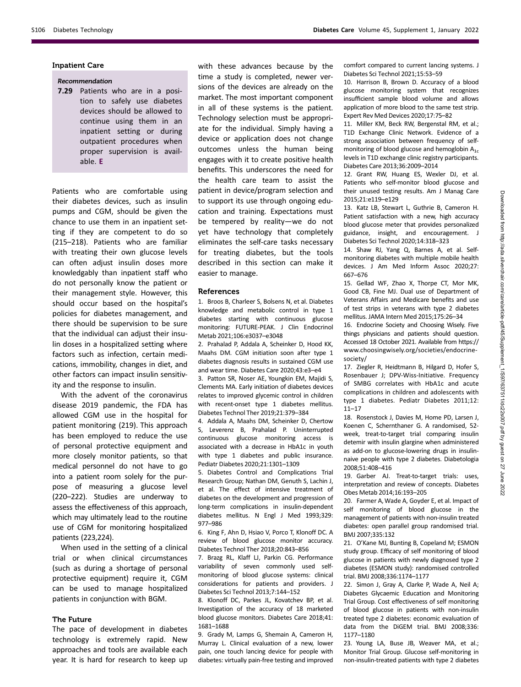### Inpatient Care

# Recommendation

7.29 Patients who are in a position to safely use diabetes devices should be allowed to continue using them in an inpatient setting or during outpatient procedures when proper supervision is available. E

Patients who are comfortable using their diabetes devices, such as insulin pumps and CGM, should be given the chance to use them in an inpatient setting if they are competent to do so (215–218). Patients who are familiar with treating their own glucose levels can often adjust insulin doses more knowledgably than inpatient staff who do not personally know the patient or their management style. However, this should occur based on the hospital's policies for diabetes management, and there should be supervision to be sure that the individual can adjust their insulin doses in a hospitalized setting where factors such as infection, certain medications, immobility, changes in diet, and other factors can impact insulin sensitivity and the response to insulin.

With the advent of the coronavirus disease 2019 pandemic, the FDA has allowed CGM use in the hospital for patient monitoring (219). This approach has been employed to reduce the use of personal protective equipment and more closely monitor patients, so that medical personnel do not have to go into a patient room solely for the purpose of measuring a glucose level (220–222). Studies are underway to assess the effectiveness of this approach, which may ultimately lead to the routine use of CGM for monitoring hospitalized patients (223,224).

When used in the setting of a clinical trial or when clinical circumstances (such as during a shortage of personal protective equipment) require it, CGM can be used to manage hospitalized patients in conjunction with BGM.

#### The Future

The pace of development in diabetes technology is extremely rapid. New approaches and tools are available each year. It is hard for research to keep up with these advances because by the time a study is completed, newer versions of the devices are already on the market. The most important component in all of these systems is the patient. Technology selection must be appropriate for the individual. Simply having a device or application does not change outcomes unless the human being engages with it to create positive health benefits. This underscores the need for the health care team to assist the patient in device/program selection and to support its use through ongoing education and training. Expectations must be tempered by reality—we do not yet have technology that completely eliminates the self-care tasks necessary for treating diabetes, but the tools described in this section can make it easier to manage.

#### References

1. Broos B, Charleer S, Bolsens N, et al. Diabetes knowledge and metabolic control in type 1 diabetes starting with continuous glucose monitoring: FUTURE-PEAK. J Clin Endocrinol Metab 2021;106:e3037–e3048

2. Prahalad P, Addala A, Scheinker D, Hood KK, Maahs DM. CGM initiation soon after type 1 diabetes diagnosis results in sustained CGM use and wear time. Diabetes Care 2020;43:e3–e4

3. Patton SR, Noser AE, Youngkin EM, Majidi S, Clements MA. Early initiation of diabetes devices relates to improved glycemic control in children with recent-onset type 1 diabetes mellitus. Diabetes Technol Ther 2019;21:379–384

4. Addala A, Maahs DM, Scheinker D, Chertow S, Leverenz B, Prahalad P. Uninterrupted continuous glucose monitoring access is associated with a decrease in HbA1c in youth with type 1 diabetes and public insurance. Pediatr Diabetes 2020;21:1301–1309

5. Diabetes Control and Complications Trial Research Group; Nathan DM, Genuth S, Lachin J, et al. The effect of intensive treatment of diabetes on the development and progression of long-term complications in insulin-dependent diabetes mellitus. N Engl J Med 1993;329: 977–986

6. King F, Ahn D, Hsiao V, Porco T, Klonoff DC. A review of blood glucose monitor accuracy. Diabetes Technol Ther 2018;20:843–856

7. Brazg RL, Klaff LJ, Parkin CG. Performance variability of seven commonly used selfmonitoring of blood glucose systems: clinical considerations for patients and providers. J Diabetes Sci Technol 2013;7:144–152

8. Klonoff DC, Parkes JL, Kovatchev BP, et al. Investigation of the accuracy of 18 marketed blood glucose monitors. Diabetes Care 2018;41: 1681–1688

9. Grady M, Lamps G, Shemain A, Cameron H, Murray L. Clinical evaluation of a new, lower pain, one touch lancing device for people with diabetes: virtually pain-free testing and improved comfort compared to current lancing systems. J Diabetes Sci Technol 2021;15:53–59

10. Harrison B, Brown D. Accuracy of a blood glucose monitoring system that recognizes insufficient sample blood volume and allows application of more blood to the same test strip. Expert Rev Med Devices 2020;17:75–82

11. Miller KM, Beck RW, Bergenstal RM, et al.; T1D Exchange Clinic Network. Evidence of a strong association between frequency of selfmonitoring of blood glucose and hemoglobin  $A_{1c}$ levels in T1D exchange clinic registry participants. Diabetes Care 2013;36:2009–2014

12. Grant RW, Huang ES, Wexler DJ, et al. Patients who self-monitor blood glucose and their unused testing results. Am J Manag Care 2015;21:e119–e129

13. Katz LB, Stewart L, Guthrie B, Cameron H. Patient satisfaction with a new, high accuracy blood glucose meter that provides personalized guidance, insight, and encouragement. J Diabetes Sci Technol 2020;14:318–323

14. Shaw RJ, Yang Q, Barnes A, et al. Selfmonitoring diabetes with multiple mobile health devices. J Am Med Inform Assoc 2020;27: 667–676

15. Gellad WF, Zhao X, Thorpe CT, Mor MK, Good CB, Fine MJ. Dual use of Department of Veterans Affairs and Medicare benefits and use of test strips in veterans with type 2 diabetes mellitus. JAMA Intern Med 2015;175:26–34

16. Endocrine Society and Choosing Wisely. Five things physicians and patients should question. Accessed 18 October 2021. Available from [https://](https://www.choosingwisely.org/societies/endocrine-society/) [www.choosingwisely.org/societies/endocrine](https://www.choosingwisely.org/societies/endocrine-society/)[society/](https://www.choosingwisely.org/societies/endocrine-society/)

17. Ziegler R, Heidtmann B, Hilgard D, Hofer S, Rosenbauer J; DPV-Wiss-Initiative. Frequency of SMBG correlates with HbA1c and acute complications in children and adolescents with type 1 diabetes. Pediatr Diabetes 2011;12: 11–17

18. Rosenstock J, Davies M, Home PD, Larsen J, Koenen C, Schernthaner G. A randomised, 52 week, treat-to-target trial comparing insulin detemir with insulin glargine when administered as add-on to glucose-lowering drugs in insulinnaive people with type 2 diabetes. Diabetologia 2008;51:408–416

19. Garber AJ. Treat-to-target trials: uses, interpretation and review of concepts. Diabetes Obes Metab 2014;16:193–205

20. Farmer A, Wade A, Goyder E, et al. Impact of self monitoring of blood glucose in the management of patients with non-insulin treated diabetes: open parallel group randomised trial. BMJ 2007;335:132

21. O'Kane MJ, Bunting B, Copeland M; ESMON study group. Efficacy of self monitoring of blood glucose in patients with newly diagnosed type 2 diabetes (ESMON study): randomised controlled trial. BMJ 2008;336:1174–1177

22. Simon J, Gray A, Clarke P, Wade A, Neil A; Diabetes Glycaemic Education and Monitoring Trial Group. Cost effectiveness of self monitoring of blood glucose in patients with non-insulin treated type 2 diabetes: economic evaluation of data from the DiGEM trial. BMJ 2008;336: 1177–1180

23. Young LA, Buse JB, Weaver MA, et al.; Monitor Trial Group. Glucose self-monitoring in non-insulin-treated patients with type 2 diabetes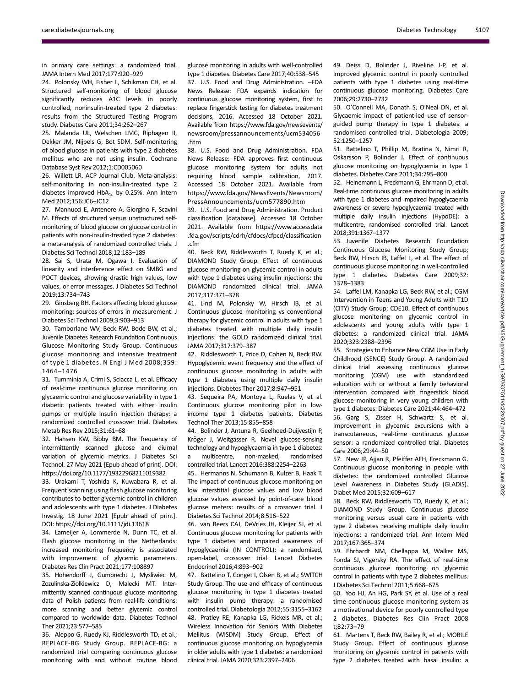in primary care settings: a randomized trial. JAMA Intern Med 2017;177:920–929

24. Polonsky WH, Fisher L, Schikman CH, et al. Structured self-monitoring of blood glucose significantly reduces A1C levels in poorly controlled, noninsulin-treated type 2 diabetes: results from the Structured Testing Program study. Diabetes Care 2011;34:262–267

25. Malanda UL, Welschen LMC, Riphagen II, Dekker JM, Nijpels G, Bot SDM. Self-monitoring of blood glucose in patients with type 2 diabetes mellitus who are not using insulin. Cochrane Database Syst Rev 2012;1:CD005060

26. Willett LR. ACP Journal Club. Meta-analysis: self-monitoring in non-insulin-treated type 2 diabetes improved  $HbA_{1c}$  by 0.25%. Ann Intern Med 2012;156:JC6–JC12

27. Mannucci E, Antenore A, Giorgino F, Scavini M. Effects of structured versus unstructured selfmonitoring of blood glucose on glucose control in patients with non-insulin-treated type 2 diabetes: a meta-analysis of randomized controlled trials. J Diabetes Sci Technol 2018;12:183–189

28. Sai S, Urata M, Ogawa I. Evaluation of linearity and interference effect on SMBG and POCT devices, showing drastic high values, low values, or error messages. J Diabetes Sci Technol 2019;13:734–743

29. Ginsberg BH. Factors affecting blood glucose monitoring: sources of errors in measurement. J Diabetes Sci Technol 2009;3:903–913

30. Tamborlane WV, Beck RW, Bode BW, et al.; Juvenile Diabetes Research Foundation Continuous Glucose Monitoring Study Group. Continuous glucose monitoring and intensive treatment of type 1 diabetes. N Engl J Med 2008;359: 1464–1476

31. Tumminia A, Crimi S, Sciacca L, et al. Efficacy of real-time continuous glucose monitoring on glycaemic control and glucose variability in type 1 diabetic patients treated with either insulin pumps or multiple insulin injection therapy: a randomized controlled crossover trial. Diabetes Metab Res Rev 2015;31:61–68

32. Hansen KW, Bibby BM. The frequency of intermittently scanned glucose and diurnal variation of glycemic metrics. J Diabetes Sci Technol. 27 May 2021 [Epub ahead of print]. DOI: <https://doi.org/10.1177/19322968211019382>

33. Urakami T, Yoshida K, Kuwabara R, et al. Frequent scanning using flash glucose monitoring contributes to better glycemic control in children and adolescents with type 1 diabetes. J Diabetes Investig. 18 June 2021 [Epub ahead of print]. DOI:<https://doi.org/10.1111/jdi.13618>

34. Lameijer A, Lommerde N, Dunn TC, et al. Flash glucose monitoring in the Netherlands: increased monitoring frequency is associated with improvement of glycemic parameters. Diabetes Res Clin Pract 2021;177:108897

35. Hohendorff J, Gumprecht J, Mysliwiec M, Zozulinska-Ziolkiewicz D, Malecki MT. Intermittently scanned continuous glucose monitoring data of Polish patients from real-life conditions: more scanning and better glycemic control compared to worldwide data. Diabetes Technol Ther 2021;23:577–585

36. Aleppo G, Ruedy KJ, Riddlesworth TD, et al.; REPLACE-BG Study Group. REPLACE-BG: a randomized trial comparing continuous glucose monitoring with and without routine blood

glucose monitoring in adults with well-controlled type 1 diabetes. Diabetes Care 2017;40:538–545 37. U.S. Food and Drug Administration. –FDA News Release: FDA expands indication for continuous glucose monitoring system, first to replace fingerstick testing for diabetes treatment decisions, 2016. Accessed 18 October 2021. Available from [https://www.fda.gov/newsevents/](https://www.fda.gov/newsevents/newsroom/pressannouncements/ucm534056.htm) [newsroom/pressannouncements/ucm534056](https://www.fda.gov/newsevents/newsroom/pressannouncements/ucm534056.htm) [.htm](https://www.fda.gov/newsevents/newsroom/pressannouncements/ucm534056.htm)

38. U.S. Food and Drug Administration. FDA News Release: FDA approves first continuous glucose monitoring system for adults not requiring blood sample calibration, 2017. Accessed 18 October 2021. Available from [https://www.fda.gov/NewsEvents/Newsroom/](https://www.fda.gov/NewsEvents/Newsroom/PressAnnouncements/ucm577890.htm) [PressAnnouncements/ucm577890.htm](https://www.fda.gov/NewsEvents/Newsroom/PressAnnouncements/ucm577890.htm)

39. U.S. Food and Drug Administration. Product classification [database]. Accessed 18 October 2021. Available from [https://www.accessdata](https://www.accessdata.fda.gov/scripts/cdrh/cfdocs/cfpcd/classification.cfm) [.fda.gov/scripts/cdrh/cfdocs/cfpcd/classi](https://www.accessdata.fda.gov/scripts/cdrh/cfdocs/cfpcd/classification.cfm)fication [.cfm](https://www.accessdata.fda.gov/scripts/cdrh/cfdocs/cfpcd/classification.cfm)

40. Beck RW, Riddlesworth T, Ruedy K, et al.; DIAMOND Study Group. Effect of continuous glucose monitoring on glycemic control in adults with type 1 diabetes using insulin injections: the DIAMOND randomized clinical trial. JAMA 2017;317:371–378

41. Lind M, Polonsky W, Hirsch IB, et al. Continuous glucose monitoring vs conventional therapy for glycemic control in adults with type 1 diabetes treated with multiple daily insulin injections: the GOLD randomized clinical trial. JAMA 2017;317:379–387

42. Riddlesworth T, Price D, Cohen N, Beck RW. Hypoglycemic event frequency and the effect of continuous glucose monitoring in adults with type 1 diabetes using multiple daily insulin injections. Diabetes Ther 2017;8:947–951

43. Sequeira PA, Montoya L, Ruelas V, et al. Continuous glucose monitoring pilot in lowincome type 1 diabetes patients. Diabetes Technol Ther 2013;15:855–858

44. Bolinder J, Antuna R, Geelhoed-Duijvestijn P, Kröger J, Weitgasser R. Novel glucose-sensing technology and hypoglycaemia in type 1 diabetes: a multicentre, non-masked, randomised controlled trial. Lancet 2016;388:2254–2263

45. Hermanns N, Schumann B, Kulzer B, Haak T. The impact of continuous glucose monitoring on low interstitial glucose values and low blood glucose values assessed by point-of-care blood glucose meters: results of a crossover trial. J Diabetes Sci Technol 2014;8:516–522

46. van Beers CAJ, DeVries JH, Kleijer SJ, et al. Continuous glucose monitoring for patients with type 1 diabetes and impaired awareness of hypoglycaemia (IN CONTROL): a randomised, open-label, crossover trial. Lancet Diabetes Endocrinol 2016;4:893–902

47. Battelino T, Conget I, Olsen B, et al.; SWITCH Study Group. The use and efficacy of continuous glucose monitoring in type 1 diabetes treated with insulin pump therapy: a randomised controlled trial. Diabetologia 2012;55:3155–3162 48. Pratley RE, Kanapka LG, Rickels MR, et al.; Wireless Innovation for Seniors With Diabetes Mellitus (WISDM) Study Group. Effect of continuous glucose monitoring on hypoglycemia in older adults with type 1 diabetes: a randomized clinical trial. JAMA 2020;323:2397–2406

49. Deiss D, Bolinder J, Riveline J-P, et al. Improved glycemic control in poorly controlled patients with type 1 diabetes using real-time continuous glucose monitoring. Diabetes Care 2006;29:2730–2732

50. O'Connell MA, Donath S, O'Neal DN, et al. Glycaemic impact of patient-led use of sensorguided pump therapy in type 1 diabetes: a randomised controlled trial. Diabetologia 2009; 52:1250–1257

51. Battelino T, Phillip M, Bratina N, Nimri R, Oskarsson P, Bolinder J. Effect of continuous glucose monitoring on hypoglycemia in type 1 diabetes. Diabetes Care 2011;34:795–800

52. Heinemann L, Freckmann G, Ehrmann D, et al. Real-time continuous glucose monitoring in adults with type 1 diabetes and impaired hypoglycaemia awareness or severe hypoglycaemia treated with multiple daily insulin injections (HypoDE): a multicentre, randomised controlled trial. Lancet 2018;391:1367–1377

53. Juvenile Diabetes Research Foundation Continuous Glucose Monitoring Study Group; Beck RW, Hirsch IB, Laffel L, et al. The effect of continuous glucose monitoring in well-controlled type 1 diabetes. Diabetes Care 2009;32: 1378–1383

54. Laffel LM, Kanapka LG, Beck RW, et al.; CGM Intervention in Teens and Young Adults with T1D (CITY) Study Group; CDE10. Effect of continuous glucose monitoring on glycemic control in adolescents and young adults with type 1 diabetes: a randomized clinical trial. JAMA 2020;323:2388–2396

55. Strategies to Enhance New CGM Use in Early Childhood (SENCE) Study Group. A randomized clinical trial assessing continuous glucose monitoring (CGM) use with standardized education with or without a family behavioral intervention compared with fingerstick blood glucose monitoring in very young children with type 1 diabetes. Diabetes Care 2021;44:464–472 56. Garg S, Zisser H, Schwartz S, et al. Improvement in glycemic excursions with a transcutaneous, real-time continuous glucose sensor: a randomized controlled trial. Diabetes Care 2006;29:44–50

57. New JP, Ajjan R, Pfeiffer AFH, Freckmann G. Continuous glucose monitoring in people with diabetes: the randomized controlled Glucose Level Awareness in Diabetes Study (GLADIS). Diabet Med 2015;32:609–617

58. Beck RW, Riddlesworth TD, Ruedy K, et al.; DIAMOND Study Group. Continuous glucose monitoring versus usual care in patients with type 2 diabetes receiving multiple daily insulin injections: a randomized trial. Ann Intern Med 2017;167:365–374

59. Ehrhardt NM, Chellappa M, Walker MS, Fonda SJ, Vigersky RA. The effect of real-time continuous glucose monitoring on glycemic control in patients with type 2 diabetes mellitus. J Diabetes Sci Technol 2011;5:668–675

60. Yoo HJ, An HG, Park SY, et al. Use of a real time continuous glucose monitoring system as a motivational device for poorly controlled type 2 diabetes. Diabetes Res Clin Pract 2008 t;82:73–79

61. Martens T, Beck RW, Bailey R, et al.; MOBILE Study Group. Effect of continuous glucose monitoring on glycemic control in patients with type 2 diabetes treated with basal insulin: a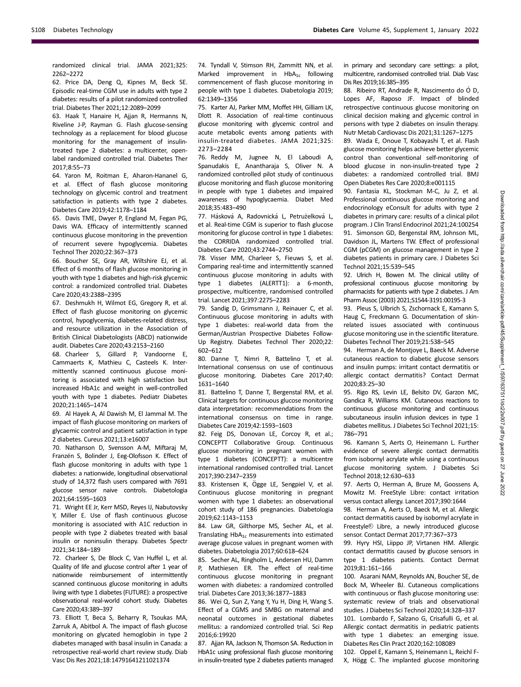randomized clinical trial. JAMA 2021;325: 2262–2272

62. Price DA, Deng Q, Kipnes M, Beck SE. Episodic real-time CGM use in adults with type 2 diabetes: results of a pilot randomized controlled trial. Diabetes Ther 2021;12:2089–2099

63. Haak T, Hanaire H, Ajjan R, Hermanns N, Riveline J-P, Rayman G. Flash glucose-sensing technology as a replacement for blood glucose monitoring for the management of insulintreated type 2 diabetes: a multicenter, openlabel randomized controlled trial. Diabetes Ther 2017;8:55–73

64. Yaron M, Roitman E, Aharon-Hananel G, et al. Effect of flash glucose monitoring technology on glycemic control and treatment satisfaction in patients with type 2 diabetes. Diabetes Care 2019;42:1178–1184

65. Davis TME, Dwyer P, England M, Fegan PG, Davis WA. Efficacy of intermittently scanned continuous glucose monitoring in the prevention of recurrent severe hypoglycemia. Diabetes Technol Ther 2020;22:367–373

66. Boucher SE, Gray AR, Wiltshire EJ, et al. Effect of 6 months of flash glucose monitoring in youth with type 1 diabetes and high-risk glycemic control: a randomized controlled trial. Diabetes Care 2020;43:2388–2395

67. Deshmukh H, Wilmot EG, Gregory R, et al. Effect of flash glucose monitoring on glycemic control, hypoglycemia, diabetes-related distress, and resource utilization in the Association of British Clinical Diabetologists (ABCD) nationwide audit. Diabetes Care 2020;43:2153–2160

68. Charleer S, Gillard P, Vandoorne E, Cammaerts K, Mathieu C, Casteels K. Intermittently scanned continuous glucose monitoring is associated with high satisfaction but increased HbA1c and weight in well-controlled youth with type 1 diabetes. Pediatr Diabetes 2020;21:1465–1474

69. Al Hayek A, Al Dawish M, El Jammal M. The impact of flash glucose monitoring on markers of glycaemic control and patient satisfaction in type 2 diabetes. Cureus 2021;13:e16007

70. Nathanson D, Svensson A-M, Miftaraj M, Franzén S, Bolinder J, Eeg-Olofsson K. Effect of flash glucose monitoring in adults with type 1 diabetes: a nationwide, longitudinal observational study of 14,372 flash users compared with 7691 glucose sensor naive controls. Diabetologia 2021;64:1595–1603

71. Wright EE Jr, Kerr MSD, Reyes IJ, Nabutovsky Y, Miller E. Use of flash continuous glucose monitoring is associated with A1C reduction in people with type 2 diabetes treated with basal insulin or noninsulin therapy. Diabetes Spectr 2021;34:184–189

72. Charleer S, De Block C, Van Huffel L, et al. Quality of life and glucose control after 1 year of nationwide reimbursement of intermittently scanned continuous glucose monitoring in adults living with type 1 diabetes (FUTURE): a prospective observational real-world cohort study. Diabetes Care 2020;43:389–397

73. Elliott T, Beca S, Beharry R, Tsoukas MA, Zarruk A, Abitbol A. The impact of flash glucose monitoring on glycated hemoglobin in type 2 diabetes managed with basal insulin in Canada: a retrospective real-world chart review study. Diab Vasc Dis Res 2021;18:14791641211021374

74. Tyndall V, Stimson RH, Zammitt NN, et al. Marked improvement in  $HbA_{1c}$  following commencement of flash glucose monitoring in people with type 1 diabetes. Diabetologia 2019; 62:1349–1356

75. Karter AJ, Parker MM, Moffet HH, Gilliam LK, Dlott R. Association of real-time continuous glucose monitoring with glycemic control and acute metabolic events among patients with insulin-treated diabetes. JAMA 2021;325: 2273–2284

76. Reddy M, Jugnee N, El Laboudi A, Spanudakis E, Anantharaja S, Oliver N. A randomized controlled pilot study of continuous glucose monitoring and flash glucose monitoring in people with type 1 diabetes and impaired awareness of hypoglycaemia. Diabet Med 2018;35:483–490

77. Hásková A, Radovnická L, Petruželková L, et al. Real-time CGM is superior to flash glucose monitoring for glucose control in type 1 diabetes: the CORRIDA randomized controlled trial. Diabetes Care 2020;43:2744–2750

78. Visser MM, Charleer S, Fieuws S, et al. Comparing real-time and intermittently scanned continuous glucose monitoring in adults with type 1 diabetes (ALERTT1): a 6-month, prospective, multicentre, randomised controlled trial. Lancet 2021;397:2275–2283

79. Sandig D, Grimsmann J, Reinauer C, et al. Continuous glucose monitoring in adults with type 1 diabetes: real-world data from the German/Austrian Prospective Diabetes Follow-Up Registry. Diabetes Technol Ther 2020;22: 602–612

80. Danne T, Nimri R, Battelino T, et al. International consensus on use of continuous glucose monitoring. Diabetes Care 2017;40: 1631–1640

81. Battelino T, Danne T, Bergenstal RM, et al. Clinical targets for continuous glucose monitoring data interpretation: recommendations from the international consensus on time in range. Diabetes Care 2019;42:1593–1603

82. Feig DS, Donovan LE, Corcoy R, et al.; CONCEPTT Collaborative Group. Continuous glucose monitoring in pregnant women with type 1 diabetes (CONCEPTT): a multicentre international randomised controlled trial. Lancet 2017;390:2347–2359

83. Kristensen K, Ogge LE, Sengpiel V, et al. Continuous glucose monitoring in pregnant women with type 1 diabetes: an observational cohort study of 186 pregnancies. Diabetologia 2019;62:1143–1153

84. Law GR, Gilthorpe MS, Secher AL, et al. Translating  $HbA_{1c}$  measurements into estimated average glucose values in pregnant women with diabetes. Diabetologia 2017;60:618–624

85. Secher AL, Ringholm L, Andersen HU, Damm P, Mathiesen ER. The effect of real-time continuous glucose monitoring in pregnant women with diabetes: a randomized controlled trial. Diabetes Care 2013;36:1877–1883

86. Wei Q, Sun Z, Yang Y, Yu H, Ding H, Wang S. Effect of a CGMS and SMBG on maternal and neonatal outcomes in gestational diabetes mellitus: a randomized controlled trial. Sci Rep 2016;6:19920

87. Ajjan RA, Jackson N, Thomson SA. Reduction in HbA1c using professional flash glucose monitoring in insulin-treated type 2 diabetes patients managed

in primary and secondary care settings: a pilot, multicentre, randomised controlled trial. Diab Vasc Dis Res 2019;16:385–395

88. Ribeiro RT, Andrade R, Nascimento do Ó D, Lopes AF, Raposo JF. Impact of blinded retrospective continuous glucose monitoring on clinical decision making and glycemic control in persons with type 2 diabetes on insulin therapy. Nutr Metab Cardiovasc Dis 2021;31:1267–1275

89. Wada E, Onoue T, Kobayashi T, et al. Flash glucose monitoring helps achieve better glycemic control than conventional self-monitoring of blood glucose in non-insulin-treated type 2 diabetes: a randomized controlled trial. BMJ Open Diabetes Res Care 2020;8:e001115

90. Fantasia KL, Stockman M-C, Ju Z, et al. Professional continuous glucose monitoring and endocrinology eConsult for adults with type 2 diabetes in primary care: results of a clinical pilot program. J Clin Transl Endocrinol 2021;24:100254 91. Simonson GD, Bergenstal RM, Johnson ML, Davidson JL, Martens TW. Effect of professional CGM (pCGM) on glucose management in type 2 diabetes patients in primary care. J Diabetes Sci Technol 2021;15:539–545

92. Ulrich H, Bowen M. The clinical utility of professional continuous glucose monitoring by pharmacists for patients with type 2 diabetes. J Am Pharm Assoc (2003) 2021;S1544-3191:00195-3

93. Pleus S, Ulbrich S, Zschornack E, Kamann S, Haug C, Freckmann G. Documentation of skinrelated issues associated with continuous glucose monitoring use in the scientific literature. Diabetes Technol Ther 2019;21:538–545

94. Herman A, de Montjoye L, Baeck M. Adverse cutaneous reaction to diabetic glucose sensors and insulin pumps: irritant contact dermatitis or allergic contact dermatitis? Contact Dermat 2020;83:25–30

95. Rigo RS, Levin LE, Belsito DV, Garzon MC, Gandica R, Williams KM. Cutaneous reactions to continuous glucose monitoring and continuous subcutaneous insulin infusion devices in type 1 diabetes mellitus. J Diabetes Sci Technol 2021;15: 786–791

96. Kamann S, Aerts O, Heinemann L. Further evidence of severe allergic contact dermatitis from isobornyl acrylate while using a continuous glucose monitoring system. J Diabetes Sci Technol 2018;12:630–633

97. Aerts O, Herman A, Bruze M, Goossens A, Mowitz M. FreeStyle Libre: contact irritation versus contact allergy. Lancet 2017;390:1644

98. Herman A, Aerts O, Baeck M, et al. Allergic contact dermatitis caused by isobornyl acrylate in Freestyle® Libre, a newly introduced glucose sensor. Contact Dermat 2017;77:367–373

99. Hyry HSI, Liippo JP, Virtanen HM. Allergic contact dermatitis caused by glucose sensors in type 1 diabetes patients. Contact Dermat 2019;81:161–166

100. Asarani NAM, Reynolds AN, Boucher SE, de Bock M, Wheeler BJ. Cutaneous complications with continuous or flash glucose monitoring use: systematic review of trials and observational studies. J Diabetes Sci Technol 2020;14:328–337 101. Lombardo F, Salzano G, Crisafulli G, et al. Allergic contact dermatitis in pediatric patients with type 1 diabetes: an emerging issue. Diabetes Res Clin Pract 2020;162:108089

102. Oppel E, Kamann S, Heinemann L, Reichl F-X, Högg C. The implanted glucose monitoring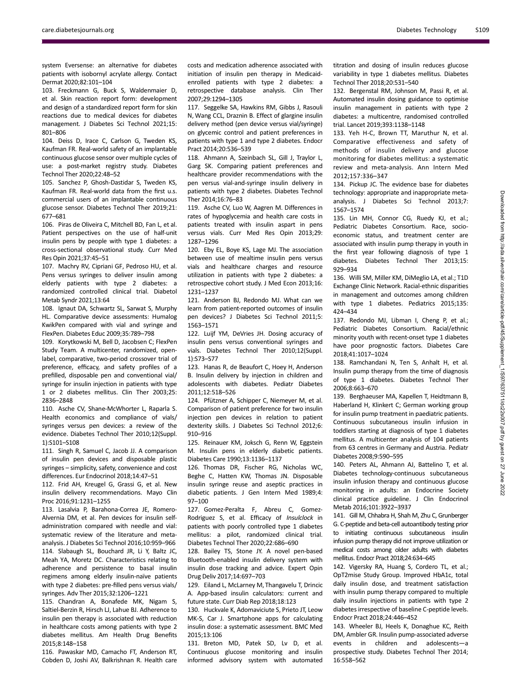system Eversense: an alternative for diabetes patients with isobornyl acrylate allergy. Contact Dermat 2020;82:101–104

103. Freckmann G, Buck S, Waldenmaier D, et al. Skin reaction report form: development and design of a standardized report form for skin reactions due to medical devices for diabetes management. J Diabetes Sci Technol 2021;15: 801–806

104. Deiss D, Irace C, Carlson G, Tweden KS, Kaufman FR. Real-world safety of an implantable continuous glucose sensor over multiple cycles of use: a post-market registry study. Diabetes Technol Ther 2020;22:48–52

105. Sanchez P, Ghosh-Dastidar S, Tweden KS, Kaufman FR. Real-world data from the first u.s. commercial users of an implantable continuous glucose sensor. Diabetes Technol Ther 2019;21: 677–681

106. Piras de Oliveira C, Mitchell BD, Fan L, et al. Patient perspectives on the use of half-unit insulin pens by people with type 1 diabetes: a cross-sectional observational study. Curr Med Res Opin 2021;37:45–51

107. Machry RV, Cipriani GF, Pedroso HU, et al. Pens versus syringes to deliver insulin among elderly patients with type 2 diabetes: a randomized controlled clinical trial. Diabetol Metab Syndr 2021;13:64

108. Ignaut DA, Schwartz SL, Sarwat S, Murphy HL. Comparative device assessments: Humalog KwikPen compared with vial and syringe and FlexPen. Diabetes Educ 2009;35:789–798

109. Korytkowski M, Bell D, Jacobsen C; FlexPen Study Team. A multicenter, randomized, openlabel, comparative, two-period crossover trial of preference, efficacy, and safety profiles of a prefilled, disposable pen and conventional vial/ syringe for insulin injection in patients with type 1 or 2 diabetes mellitus. Clin Ther 2003;25: 2836–2848

110. Asche CV, Shane-McWhorter L, Raparla S. Health economics and compliance of vials/ syringes versus pen devices: a review of the evidence. Diabetes Technol Ther 2010;12(Suppl. 1):S101–S108

111. Singh R, Samuel C, Jacob JJ. A comparison of insulin pen devices and disposable plastic syringes – simplicity, safety, convenience and cost differences. Eur Endocrinol 2018;14:47–51

112. Frid AH, Kreugel G, Grassi G, et al. New insulin delivery recommendations. Mayo Clin Proc 2016;91:1231–1255

113. Lasalvia P, Barahona-Correa JE, Romero-Alvernia DM, et al. Pen devices for insulin selfadministration compared with needle and vial: systematic review of the literature and metaanalysis. J Diabetes Sci Technol 2016;10:959–966 114. Slabaugh SL, Bouchard JR, Li Y, Baltz JC, Meah YA, Moretz DC. Characteristics relating to adherence and persistence to basal insulin regimens among elderly insulin-naïve patients with type 2 diabetes: pre-filled pens versus vials/ syringes. Adv Ther 2015;32:1206–1221

115. Chandran A, Bonafede MK, Nigam S, Saltiel-Berzin R, Hirsch LJ, Lahue BJ. Adherence to insulin pen therapy is associated with reduction in healthcare costs among patients with type 2 diabetes mellitus. Am Health Drug Benefits 2015;8:148–158

116. Pawaskar MD, Camacho FT, Anderson RT, Cobden D, Joshi AV, Balkrishnan R. Health care

costs and medication adherence associated with initiation of insulin pen therapy in Medicaidenrolled patients with type 2 diabetes: a retrospective database analysis. Clin Ther 2007;29:1294–1305

117. Seggelke SA, Hawkins RM, Gibbs J, Rasouli N, Wang CCL, Draznin B. Effect of glargine insulin delivery method (pen device versus vial/syringe) on glycemic control and patient preferences in patients with type 1 and type 2 diabetes. Endocr Pract 2014;20:536–539

118. Ahmann A, Szeinbach SL, Gill J, Traylor L, Garg SK. Comparing patient preferences and healthcare provider recommendations with the pen versus vial-and-syringe insulin delivery in patients with type 2 diabetes. Diabetes Technol Ther 2014;16:76–83

119. Asche CV, Luo W, Aagren M. Differences in rates of hypoglycemia and health care costs in patients treated with insulin aspart in pens versus vials. Curr Med Res Opin 2013;29: 1287–1296

120. Eby EL, Boye KS, Lage MJ. The association between use of mealtime insulin pens versus vials and healthcare charges and resource utilization in patients with type 2 diabetes: a retrospective cohort study. J Med Econ 2013;16: 1231–1237

121. Anderson BJ, Redondo MJ. What can we learn from patient-reported outcomes of insulin pen devices? J Diabetes Sci Technol 2011;5: 1563–1571

122. Luijf YM, DeVries JH. Dosing accuracy of insulin pens versus conventional syringes and vials. Diabetes Technol Ther 2010;12(Suppl. 1):S73–S77

123. Hanas R, de Beaufort C, Hoey H, Anderson B. Insulin delivery by injection in children and adolescents with diabetes. Pediatr Diabetes 2011;12:518–526

124. Pfützner A, Schipper C, Niemeyer M, et al. Comparison of patient preference for two insulin injection pen devices in relation to patient dexterity skills. J Diabetes Sci Technol 2012;6: 910–916

125. Reinauer KM, Joksch G, Renn W, Eggstein M. Insulin pens in elderly diabetic patients. Diabetes Care 1990;13:1136–1137

126. Thomas DR, Fischer RG, Nicholas WC, Beghe C, Hatten KW, Thomas JN. Disposable insulin syringe reuse and aseptic practices in diabetic patients. J Gen Intern Med 1989;4: 97–100

127. Gomez-Peralta F, Abreu C, Gomez-Rodriguez S, et al. Efficacy of Insulclock in patients with poorly controlled type 1 diabetes mellitus: a pilot, randomized clinical trial. Diabetes Technol Ther 2020;22:686–690

128. Bailey TS, Stone JY. A novel pen-based Bluetooth-enabled insulin delivery system with insulin dose tracking and advice. Expert Opin Drug Deliv 2017;14:697–703

129. Eiland L, McLarney M, Thangavelu T, Drincic A. App-based insulin calculators: current and future state. Curr Diab Rep 2018;18:123

130. Huckvale K, Adomaviciute S, Prieto JT, Leow MK-S, Car J. Smartphone apps for calculating insulin dose: a systematic assessment. BMC Med 2015;13:106

131. Breton MD, Patek SD, Lv D, et al. Continuous glucose monitoring and insulin informed advisory system with automated

titration and dosing of insulin reduces glucose variability in type 1 diabetes mellitus. Diabetes Technol Ther 2018;20:531–540

132. Bergenstal RM, Johnson M, Passi R, et al. Automated insulin dosing guidance to optimise insulin management in patients with type 2 diabetes: a multicentre, randomised controlled trial. Lancet 2019;393:1138–1148

133. Yeh H-C, Brown TT, Maruthur N, et al. Comparative effectiveness and safety of methods of insulin delivery and glucose monitoring for diabetes mellitus: a systematic review and meta-analysis. Ann Intern Med 2012;157:336–347

134. Pickup JC. The evidence base for diabetes technology: appropriate and inappropriate metaanalysis. J Diabetes Sci Technol 2013;7: 1567–1574

135. Lin MH, Connor CG, Ruedy KJ, et al.; Pediatric Diabetes Consortium. Race, socioeconomic status, and treatment center are associated with insulin pump therapy in youth in the first year following diagnosis of type 1 diabetes. Diabetes Technol Ther 2013;15: 929–934

136. Willi SM, Miller KM, DiMeglio LA, et al.; T1D Exchange Clinic Network. Racial-ethnic disparities in management and outcomes among children with type 1 diabetes. Pediatrics 2015;135: 424–434

137. Redondo MJ, Libman I, Cheng P, et al.; Pediatric Diabetes Consortium. Racial/ethnic minority youth with recent-onset type 1 diabetes have poor prognostic factors. Diabetes Care 2018;41:1017–1024

138. Ramchandani N, Ten S, Anhalt H, et al. Insulin pump therapy from the time of diagnosis of type 1 diabetes. Diabetes Technol Ther 2006;8:663–670

139. Berghaeuser MA, Kapellen T, Heidtmann B, Haberland H, Klinkert C; German working group for insulin pump treatment in paediatric patients. Continuous subcutaneous insulin infusion in toddlers starting at diagnosis of type 1 diabetes mellitus. A multicenter analysis of 104 patients from 63 centres in Germany and Austria. Pediatr Diabetes 2008;9:590–595

140. Peters AL, Ahmann AJ, Battelino T, et al. Diabetes technology-continuous subcutaneous insulin infusion therapy and continuous glucose monitoring in adults: an Endocrine Society clinical practice guideline. J Clin Endocrinol Metab 2016;101:3922–3937

141. Gill M, Chhabra H, Shah M, Zhu C, Grunberger G. C-peptide and beta-cell autoantibody testing prior to initiating continuous subcutaneous insulin infusion pump therapy did not improve utilization or medical costs among older adults with diabetes mellitus. Endocr Pract 2018;24:634–645

142. Vigersky RA, Huang S, Cordero TL, et al.; OpT2mise Study Group. Improved HbA1c, total daily insulin dose, and treatment satisfaction with insulin pump therapy compared to multiple daily insulin injections in patients with type 2 diabetes irrespective of baseline C-peptide levels. Endocr Pract 2018;24:446–452

143. Wheeler BJ, Heels K, Donaghue KC, Reith DM, Ambler GR. Insulin pump-associated adverse events in children and adolescents—a prospective study. Diabetes Technol Ther 2014; 16:558–562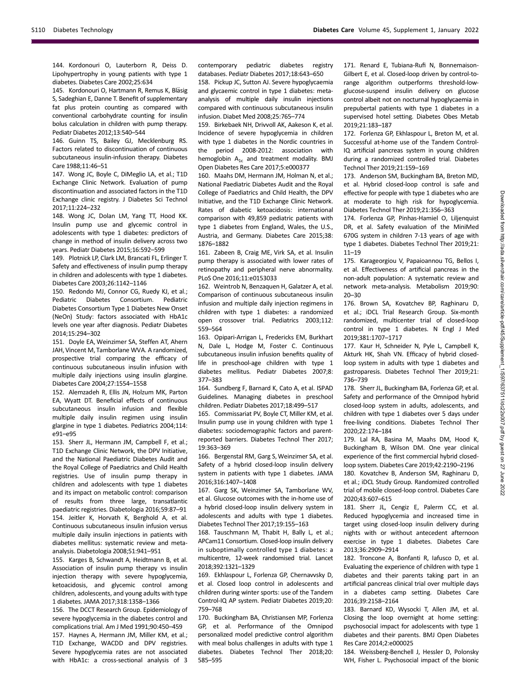144. Kordonouri O, Lauterborn R, Deiss D. Lipohypertrophy in young patients with type 1 diabetes. Diabetes Care 2002;25:634

145. Kordonouri O, Hartmann R, Remus K, Bläsig S, Sadeghian E, Danne T. Benefit of supplementary fat plus protein counting as compared with conventional carbohydrate counting for insulin bolus calculation in children with pump therapy. Pediatr Diabetes 2012;13:540–544

146. Guinn TS, Bailey GJ, Mecklenburg RS. Factors related to discontinuation of continuous subcutaneous insulin-infusion therapy. Diabetes Care 1988;11:46–51

147. Wong JC, Boyle C, DiMeglio LA, et al.; T1D Exchange Clinic Network. Evaluation of pump discontinuation and associated factors in the T1D Exchange clinic registry. J Diabetes Sci Technol 2017;11:224–232

148. Wong JC, Dolan LM, Yang TT, Hood KK. Insulin pump use and glycemic control in adolescents with type 1 diabetes: predictors of change in method of insulin delivery across two years. Pediatr Diabetes 2015;16:592–599

149. Plotnick LP, Clark LM, Brancati FL, Erlinger T. Safety and effectiveness of insulin pump therapy in children and adolescents with type 1 diabetes. Diabetes Care 2003;26:1142–1146

150. Redondo MJ, Connor CG, Ruedy KJ, et al.; Pediatric Diabetes Consortium. Pediatric Diabetes Consortium Type 1 Diabetes New Onset (NeOn) Study: factors associated with HbA1c levels one year after diagnosis. Pediatr Diabetes 2014;15:294–302

151. Doyle EA, Weinzimer SA, Steffen AT, Ahern JAH, Vincent M, Tamborlane WVA. A randomized, prospective trial comparing the efficacy of continuous subcutaneous insulin infusion with multiple daily injections using insulin glargine. Diabetes Care 2004;27:1554–1558

152. Alemzadeh R, Ellis JN, Holzum MK, Parton EA, Wyatt DT. Beneficial effects of continuous subcutaneous insulin infusion and flexible multiple daily insulin regimen using insulin glargine in type 1 diabetes. Pediatrics 2004;114: e91–e95

153. Sherr JL, Hermann JM, Campbell F, et al.; T1D Exchange Clinic Network, the DPV Initiative, and the National Paediatric Diabetes Audit and the Royal College of Paediatrics and Child Health registries. Use of insulin pump therapy in children and adolescents with type 1 diabetes and its impact on metabolic control: comparison of results from three large, transatlantic paediatric registries. Diabetologia 2016;59:87–91 154. Jeitler K, Horvath K, Berghold A, et al. Continuous subcutaneous insulin infusion versus multiple daily insulin injections in patients with diabetes mellitus: systematic review and metaanalysis. Diabetologia 2008;51:941–951

155. Karges B, Schwandt A, Heidtmann B, et al. Association of insulin pump therapy vs insulin injection therapy with severe hypoglycemia, ketoacidosis, and glycemic control among children, adolescents, and young adults with type 1 diabetes. JAMA 2017;318:1358–1366

156. The DCCT Research Group. Epidemiology of severe hypoglycemia in the diabetes control and complications trial. Am J Med 1991;90:450–459 157. Haynes A, Hermann JM, Miller KM, et al.; T1D Exchange, WACDD and DPV registries. Severe hypoglycemia rates are not associated with HbA1c: a cross-sectional analysis of 3 contemporary pediatric diabetes registry databases. Pediatr Diabetes 2017;18:643–650

158. Pickup JC, Sutton AJ. Severe hypoglycaemia and glycaemic control in type 1 diabetes: metaanalysis of multiple daily insulin injections compared with continuous subcutaneous insulin infusion. Diabet Med 2008;25:765–774

159. Birkebaek NH, Drivvoll AK, Aakeson K, et al. Incidence of severe hypoglycemia in children with type 1 diabetes in the Nordic countries in the period 2008-2012: association with hemoglobin  $A_{1c}$  and treatment modality. BMJ Open Diabetes Res Care 2017;5:e000377

160. Maahs DM, Hermann JM, Holman N, et al.; National Paediatric Diabetes Audit and the Royal College of Paediatrics and Child Health, the DPV Initiative, and the T1D Exchange Clinic Network. Rates of diabetic ketoacidosis: international comparison with 49,859 pediatric patients with type 1 diabetes from England, Wales, the U.S., Austria, and Germany. Diabetes Care 2015;38: 1876–1882

161. Zabeen B, Craig ME, Virk SA, et al. Insulin pump therapy is associated with lower rates of retinopathy and peripheral nerve abnormality. PLoS One 2016;11:e0153033

162. Weintrob N, Benzaquen H, Galatzer A, et al. Comparison of continuous subcutaneous insulin infusion and multiple daily injection regimens in children with type 1 diabetes: a randomized open crossover trial. Pediatrics 2003;112: 559–564

163. Opipari-Arrigan L, Fredericks EM, Burkhart N, Dale L, Hodge M, Foster C. Continuous subcutaneous insulin infusion benefits quality of life in preschool-age children with type 1 diabetes mellitus. Pediatr Diabetes 2007;8: 377–383

164. Sundberg F, Barnard K, Cato A, et al. ISPAD Guidelines. Managing diabetes in preschool children. Pediatr Diabetes 2017;18:499–517

165. Commissariat PV, Boyle CT, Miller KM, et al. Insulin pump use in young children with type 1 diabetes: sociodemographic factors and parentreported barriers. Diabetes Technol Ther 2017; 19:363–369

166. Bergenstal RM, Garg S, Weinzimer SA, et al. Safety of a hybrid closed-loop insulin delivery system in patients with type 1 diabetes. JAMA 2016;316:1407–1408

167. Garg SK, Weinzimer SA, Tamborlane WV, et al. Glucose outcomes with the in-home use of a hybrid closed-loop insulin delivery system in adolescents and adults with type 1 diabetes. Diabetes Technol Ther 2017;19:155–163

168. Tauschmann M, Thabit H, Bally L, et al.; APCam11 Consortium. Closed-loop insulin delivery in suboptimally controlled type 1 diabetes: a multicentre, 12-week randomised trial. Lancet 2018;392:1321–1329

169. Ekhlaspour L, Forlenza GP, Chernavvsky D, et al. Closed loop control in adolescents and children during winter sports: use of the Tandem Control-IQ AP system. Pediatr Diabetes 2019;20: 759–768

170. Buckingham BA, Christiansen MP, Forlenza GP, et al. Performance of the Omnipod personalized model predictive control algorithm with meal bolus challenges in adults with type 1 diabetes. Diabetes Technol Ther 2018;20: 585–595

171. Renard E, Tubiana-Rufi N, Bonnemaison-Gilbert E, et al. Closed-loop driven by control-torange algorithm outperforms threshold-lowglucose-suspend insulin delivery on glucose control albeit not on nocturnal hypoglycaemia in prepubertal patients with type 1 diabetes in a supervised hotel setting. Diabetes Obes Metab 2019;21:183–187

172. Forlenza GP, Ekhlaspour L, Breton M, et al. Successful at-home use of the Tandem Control-IQ artificial pancreas system in young children during a randomized controlled trial. Diabetes Technol Ther 2019;21:159–169

173. Anderson SM, Buckingham BA, Breton MD, et al. Hybrid closed-loop control is safe and effective for people with type 1 diabetes who are at moderate to high risk for hypoglycemia. Diabetes Technol Ther 2019;21:356–363

174. Forlenza GP, Pinhas-Hamiel O, Liljenquist DR, et al. Safety evaluation of the MiniMed 670G system in children 7-13 years of age with type 1 diabetes. Diabetes Technol Ther 2019;21: 11–19

175. Karageorgiou V, Papaioannou TG, Bellos I, et al. Effectiveness of artificial pancreas in the non-adult population: A systematic review and network meta-analysis. Metabolism 2019;90: 20–30

176. Brown SA, Kovatchev BP, Raghinaru D, et al.; iDCL Trial Research Group. Six-month randomized, multicenter trial of closed-loop control in type 1 diabetes. N Engl J Med 2019;381:1707–1717

177. Kaur H, Schneider N, Pyle L, Campbell K, Akturk HK, Shah VN. Efficacy of hybrid closedloop system in adults with type 1 diabetes and gastroparesis. Diabetes Technol Ther 2019;21: 736–739

178. Sherr JL, Buckingham BA, Forlenza GP, et al. Safety and performance of the Omnipod hybrid closed-loop system in adults, adolescents, and children with type 1 diabetes over 5 days under free-living conditions. Diabetes Technol Ther 2020;22:174–184

179. Lal RA, Basina M, Maahs DM, Hood K, Buckingham B, Wilson DM. One year clinical experience of the first commercial hybrid closedloop system. Diabetes Care 2019;42:2190–2196 180. Kovatchev B, Anderson SM, Raghinaru D, et al.; iDCL Study Group. Randomized controlled trial of mobile closed-loop control. Diabetes Care 2020;43:607–615

181. Sherr JL, Cengiz E, Palerm CC, et al. Reduced hypoglycemia and increased time in target using closed-loop insulin delivery during nights with or without antecedent afternoon exercise in type 1 diabetes. Diabetes Care 2013;36:2909–2914

182. Troncone A, Bonfanti R, Iafusco D, et al. Evaluating the experience of children with type 1 diabetes and their parents taking part in an artificial pancreas clinical trial over multiple days in a diabetes camp setting. Diabetes Care 2016;39:2158–2164

183. Barnard KD, Wysocki T, Allen JM, et al. Closing the loop overnight at home setting: psychosocial impact for adolescents with type 1 diabetes and their parents. BMJ Open Diabetes Res Care 2014;2:e000025

184. Weissberg-Benchell J, Hessler D, Polonsky WH, Fisher L. Psychosocial impact of the bionic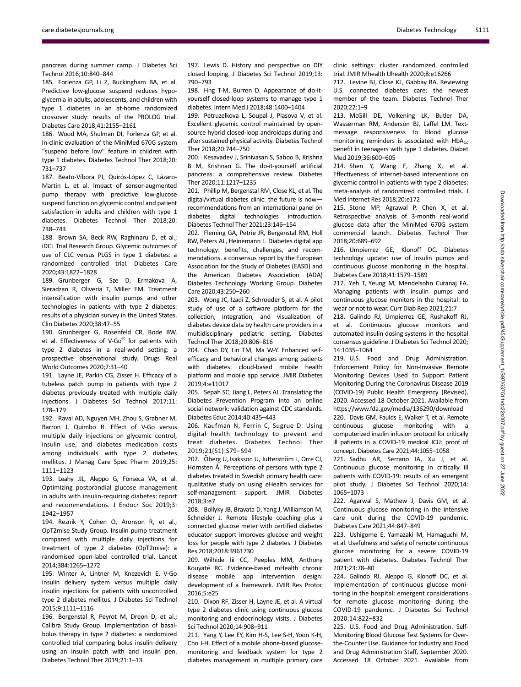pancreas during summer camp. J Diabetes Sci Technol 2016;10:840–844

185. Forlenza GP, Li Z, Buckingham BA, et al. Predictive low-glucose suspend reduces hypoglycemia in adults, adolescents, and children with type 1 diabetes in an at-home randomized crossover study: results of the PROLOG trial. Diabetes Care 2018;41:2155–2161

186. Wood MA, Shulman DI, Forlenza GP, et al. In-clinic evaluation of the MiniMed 670G system "suspend before low" feature in children with type 1 diabetes. Diabetes Technol Ther 2018;20: 731–737

187. Beato-Víbora PI, Quirós-López C, Lázaro-Martín L, et al. Impact of sensor-augmented pump therapy with predictive low-glucose suspend function on glycemic control and patient satisfaction in adults and children with type 1 diabetes. Diabetes Technol Ther 2018;20: 738–743

188. Brown SA, Beck RW, Raghinaru D, et al.; iDCL Trial Research Group. Glycemic outcomes of use of CLC versus PLGS in type 1 diabetes: a randomized controlled trial. Diabetes Care 2020;43:1822–1828

189. Grunberger G, Sze D, Ermakova A, Sieradzan R, Oliveria T, Miller EM. Treatment intensification with insulin pumps and other technologies in patients with type 2 diabetes: results of a physician survey in the United States. Clin Diabetes 2020;38:47–55

190. Grunberger G, Rosenfeld CR, Bode BW, et al. Effectiveness of V-Go® for patients with type 2 diabetes in a real-world setting: a prospective observational study. Drugs Real World Outcomes 2020;7:31–40

191. Layne JE, Parkin CG, Zisser H. Efficacy of a tubeless patch pump in patients with type 2 diabetes previously treated with multiple daily injections. J Diabetes Sci Technol 2017;11: 178–179

192. Raval AD, Nguyen MH, Zhou S, Grabner M, Barron J, Quimbo R. Effect of V-Go versus multiple daily injections on glycemic control, insulin use, and diabetes medication costs among individuals with type 2 diabetes mellitus. J Manag Care Spec Pharm 2019;25: 1111–1123

193. Leahy JJL, Aleppo G, Fonseca VA, et al. Optimizing postprandial glucose management in adults with insulin-requiring diabetes: report and recommendations. J Endocr Soc 2019;3: 1942–1957

194. Reznik Y, Cohen O, Aronson R, et al.; OpT2mise Study Group. Insulin pump treatment compared with multiple daily injections for treatment of type 2 diabetes (OpT2mise): a randomised open-label controlled trial. Lancet 2014;384:1265–1272

195. Winter A, Lintner M, Knezevich E. V-Go insulin delivery system versus multiple daily insulin injections for patients with uncontrolled type 2 diabetes mellitus. J Diabetes Sci Technol 2015;9:1111–1116

196. Bergenstal R, Peyrot M, Dreon D, et al.; Calibra Study Group. Implementation of basalbolus therapy in type 2 diabetes: a randomized controlled trial comparing bolus insulin delivery using an insulin patch with and insulin pen. Diabetes Technol Ther 2019;21:1–13

197. Lewis D. History and perspective on DIY closed looping. J Diabetes Sci Technol 2019;13: 790–793

198. Hng T-M, Burren D. Appearance of do-ityourself closed-loop systems to manage type 1 diabetes. Intern Med J 2018;48:1400–1404

199. Petruzelkova L, Soupal J, Plasova V, et al. Excellent glycemic control maintained by opensource hybrid closed-loop androidaps during and after sustained physical activity. Diabetes Technol Ther 2018;20:744–750

200. Kesavadev J, Srinivasan S, Saboo B, Krishna B M, Krishnan G. The do-it-yourself artificial pancreas: a comprehensive review. Diabetes Ther 2020;11:1217–1235

201. Phillip M, Bergenstal RM, Close KL, et al. The digital/virtual diabetes clinic: the future is now recommendations from an international panel on diabetes digital technologies introduction. Diabetes Technol Ther 2021;23:146–154

202. Fleming GA, Petrie JR, Bergenstal RM, Holl RW, Peters AL, Heinemann L. Diabetes digital app technology: benefits, challenges, and recommendations. a consensus report by the European Association for the Study of Diabetes (EASD) and the American Diabetes Association (ADA) Diabetes Technology Working Group. Diabetes Care 2020;43:250–260

203. Wong JC, Izadi Z, Schroeder S, et al. A pilot study of use of a software platform for the collection, integration, and visualization of diabetes device data by health care providers in a multidisciplinary pediatric setting. Diabetes Technol Ther 2018;20:806–816

204. Chao DY, Lin TM, Ma W-Y. Enhanced selfefficacy and behavioral changes among patients with diabetes: cloud-based mobile health platform and mobile app service. JMIR Diabetes 2019;4:e11017

205. Sepah SC, Jiang L, Peters AL. Translating the Diabetes Prevention Program into an online social network: validation against CDC standards. Diabetes Educ 2014;40:435–443

206. Kaufman N, Ferrin C, Sugrue D. Using digital health technology to prevent and treat diabetes. Diabetes Technol Ther 2019;21(S1):S79–S94

207. Öberg U, Isaksson U, Jutterström L, Orre CJ, Hörnsten Å. Perceptions of persons with type 2 diabetes treated in Swedish primary health care: qualitative study on using eHealth services for self-management support. JMIR Diabetes 2018;3:e7

208. Bollyky JB, Bravata D, Yang J, Williamson M, Schneider J. Remote lifestyle coaching plus a connected glucose meter with certified diabetes educator support improves glucose and weight loss for people with type 2 diabetes. J Diabetes Res 2018;2018:3961730

209. Wilhide Iii CC, Peeples MM, Anthony Kouyaté RC. Evidence-based mHealth chronic disease mobile app intervention design: development of a framework. JMIR Res Protoc 2016;5:e25

210. Dixon RF, Zisser H, Layne JE, et al. A virtual type 2 diabetes clinic using continuous glucose monitoring and endocrinology visits. J Diabetes Sci Technol 2020;14:908–911

211. Yang Y, Lee EY, Kim H-S, Lee S-H, Yoon K-H, Cho J-H. Effect of a mobile phone-based glucosemonitoring and feedback system for type 2 diabetes management in multiple primary care clinic settings: cluster randomized controlled trial. JMIR Mhealth Uhealth 2020;8:e16266

212. Levine BJ, Close KL, Gabbay RA. Reviewing U.S. connected diabetes care: the newest member of the team. Diabetes Technol Ther 2020;22:1–9

213. McGill DE, Volkening LK, Butler DA, Wasserman RM, Anderson BJ, Laffel LM. Textmessage responsiveness to blood glucose monitoring reminders is associated with  $HbA_{1c}$ benefit in teenagers with type 1 diabetes. Diabet Med 2019;36:600–605

214. Shen Y, Wang F, Zhang X, et al. Effectiveness of internet-based interventions on glycemic control in patients with type 2 diabetes: meta-analysis of randomized controlled trials. J Med Internet Res 2018;20:e172

215. Stone MP, Agrawal P, Chen X, et al. Retrospective analysis of 3-month real-world glucose data after the MiniMed 670G system commercial launch. Diabetes Technol Ther 2018;20:689–692

216. Umpierrez GE, Klonoff DC. Diabetes technology update: use of insulin pumps and continuous glucose monitoring in the hospital. Diabetes Care 2018;41:1579–1589

217. Yeh T, Yeung M, Mendelsohn Curanaj FA. Managing patients with insulin pumps and continuous glucose monitors in the hospital: to wear or not to wear. Curr Diab Rep 2021;21:7

218. Galindo RJ, Umpierrez GE, Rushakoff RJ, et al. Continuous glucose monitors and automated insulin dosing systems in the hospital consensus guideline. J Diabetes Sci Technol 2020; 14:1035–1064

219. U.S. Food and Drug Administration. Enforcement Policy for Non-Invasive Remote Monitoring Devices Used to Support Patient Monitoring During the Coronavirus Disease 2019 (COVID-19) Public Health Emergency (Revised), 2020. Accessed 18 October 2021. Available from <https://www.fda.gov/media/136290/download>

220. Davis GM, Faulds E, Walker T, et al. Remote continuous glucose monitoring with a computerized insulin infusion protocol for critically ill patients in a COVID-19 medical ICU: proof of concept. Diabetes Care 2021;44:1055–1058

221. Sadhu AR, Serrano IA, Xu J, et al. Continuous glucose monitoring in critically ill patients with COVID-19: results of an emergent pilot study. J Diabetes Sci Technol 2020;14: 1065–1073

222. Agarwal S, Mathew J, Davis GM, et al. Continuous glucose monitoring in the intensive care unit during the COVID-19 pandemic. Diabetes Care 2021;44:847–849

223. Ushigome E, Yamazaki M, Hamaguchi M, et al. Usefulness and safety of remote continuous glucose monitoring for a severe COVID-19 patient with diabetes. Diabetes Technol Ther 2021;23:78–80

224. Galindo RJ, Aleppo G, Klonoff DC, et al. Implementation of continuous glucose monitoring in the hospital: emergent considerations for remote glucose monitoring during the COVID-19 pandemic. J Diabetes Sci Technol 2020;14:822–832

225. U.S. Food and Drug Administration. Self-Monitoring Blood Glucose Test Systems for Overthe-Counter Use. Guidance for Industry and Food and Drug Administration Staff, September 2020. Accessed 18 October 2021. Available from